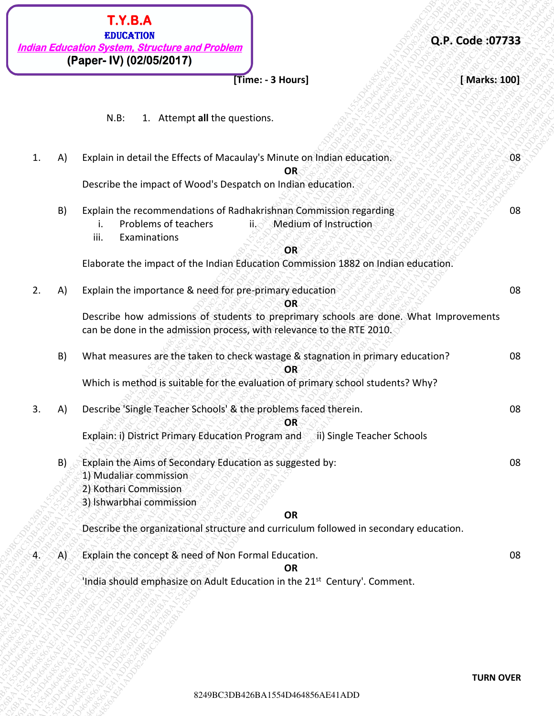| Q.P. Code:07733  |                                                                                                                                                                | T.Y.B.A<br><b>EDUCATION</b><br><b>Indian Education System, Structure and Problem</b> |     |    |
|------------------|----------------------------------------------------------------------------------------------------------------------------------------------------------------|--------------------------------------------------------------------------------------|-----|----|
| [Marks: 100]     | [Time: - 3 Hours]                                                                                                                                              | (Paper- IV) (02/05/2017)                                                             |     |    |
|                  |                                                                                                                                                                |                                                                                      |     |    |
|                  |                                                                                                                                                                | $N.B$ :<br>1. Attempt all the questions.                                             |     |    |
| 08               | Explain in detail the Effects of Macaulay's Minute on Indian education.<br>OR                                                                                  |                                                                                      | A)  | 1. |
|                  |                                                                                                                                                                | Describe the impact of Wood's Despatch on Indian education.                          |     |    |
| 08               | Explain the recommendations of Radhakrishnan Commission regarding<br><b>Medium of Instruction</b><br>$\mathsf{ii}$ . $\subset$                                 | Problems of teachers<br>Ι.                                                           | B)  |    |
|                  | <b>OR</b>                                                                                                                                                      | iii.<br>Examinations                                                                 |     |    |
|                  | Elaborate the impact of the Indian Education Commission 1882 on Indian education.                                                                              |                                                                                      |     |    |
| 08               | <b>OR</b>                                                                                                                                                      | Explain the importance & need for pre-primary education                              | A)  | 2. |
|                  | Describe how admissions of students to preprimary schools are done. What Improvements<br>can be done in the admission process, with relevance to the RTE 2010. |                                                                                      |     |    |
| 08               | What measures are the taken to check wastage & stagnation in primary education?<br>OR                                                                          |                                                                                      | B)  |    |
|                  | Which is method is suitable for the evaluation of primary school students? Why?                                                                                |                                                                                      |     |    |
| 08               | OR                                                                                                                                                             | Describe 'Single Teacher Schools' & the problems faced therein.                      | (A) | 3. |
|                  | Explain: i) District Primary Education Program and (ii) Single Teacher Schools                                                                                 |                                                                                      |     |    |
| 08               |                                                                                                                                                                | Explain the Aims of Secondary Education as suggested by:<br>1) Mudaliar commission   | B)  |    |
|                  |                                                                                                                                                                | 2) Kothari Commission<br>3) Ishwarbhai commission                                    |     |    |
|                  | <b>OR</b>                                                                                                                                                      |                                                                                      |     |    |
|                  | Describe the organizational structure and curriculum followed in secondary education.                                                                          |                                                                                      |     |    |
| 08               | <b>OR</b>                                                                                                                                                      | Explain the concept & need of Non Formal Education.                                  | A)  | 4. |
|                  | 'India should emphasize on Adult Education in the 21 <sup>st</sup> Century'. Comment.                                                                          |                                                                                      |     |    |
|                  |                                                                                                                                                                |                                                                                      |     |    |
|                  |                                                                                                                                                                |                                                                                      |     |    |
|                  |                                                                                                                                                                |                                                                                      |     |    |
|                  |                                                                                                                                                                |                                                                                      |     |    |
| <b>TURN OVER</b> | 8249BC3DB426BA1554D464856AE41ADD                                                                                                                               |                                                                                      |     |    |
|                  |                                                                                                                                                                |                                                                                      |     |    |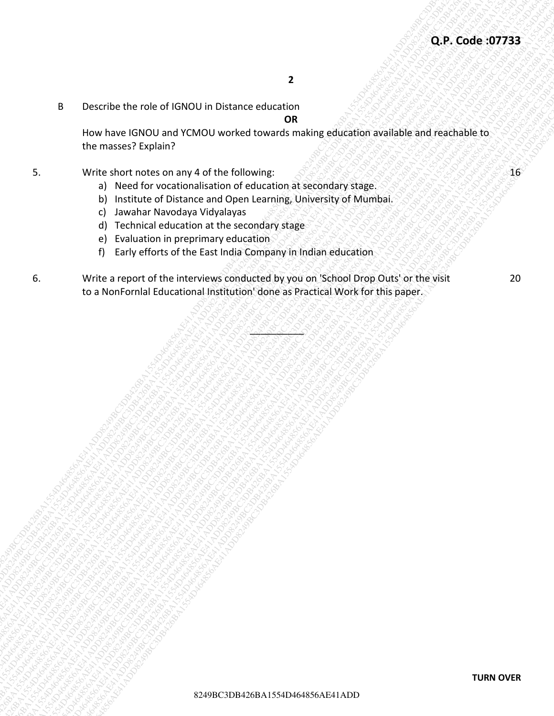B Describe the role of IGNOU in Distance education

**OR**

How have IGNOU and YCMOU worked towards making education available and reachable to the masses? Explain?

- 5. Write short notes on any 4 of the following:  $\mathcal{S}^{\mathcal{A}}$  is  $\mathcal{S}^{\mathcal{A}}$  is  $\mathcal{S}^{\mathcal{A}}$  is  $\mathcal{S}^{\mathcal{A}}$  is  $\mathcal{S}^{\mathcal{A}}$ 
	- a) Need for vocationalisation of education at secondary stage.
	- b) Institute of Distance and Open Learning, University of Mumbai.
	- c) Jawahar Navodaya Vidyalayas
	- d) Technical education at the secondary stage
	- e) Evaluation in preprimary education
	- f) Early efforts of the East India Company in Indian education
- **Q.P. Code: 197733**<br>
8244926 BC3DB4167<br>
How have CAT0OU and YCMOU worked coverage moderation means elsewhered and reachable isotration means of the following company solutions are approximately property of Mustakea<br>
9. The 8<br>
82444546 BC3D413454 SCMCU3 Horsester characterized converge consideration and consideration and the masses of such and the following<br>
9. November 266426 AC41ADD424 MC4 Mc4 Converge consideration and consideration and th 8249BC3DB426BA1554D464856AE41ADD8249BC3DB426BA1554D464856AE41ADD8249BC3DB426BA1554D464856AE41ADD8249BC3DB426BA1554D464856AE41ADD8249BC3DB426BA1554D464856AE41ADD8249BC3DB426BA1554D464856AE41ADD 9249 BC-cristian the role of GMD311 milibitians character<br>
BC426 BA1554 and YCMO1 weather coverage and american spin of the relationship of the relationship of the relationship of the relationship of the relationship of th 9<br>82449648486494848404848478484876484<br>3 April 2000 11:00 12:00 13:00 13:00 13:00 13:00 13:00 13:00 14:00 14:00 14:00 14:00 14:00 14:00 14:00 14:00 14:00 14:00 14:00 14:00 14:00 14:00 14:00 14:00 14:00 14:00 14:00 14:00 14: 8249<br>
8249 BC3D 4244 C50 AB426 C50 D4142 C50 D4142 C50 D424 C40 D424 C40 D424 C40 D424<br>
24. Weits also discuss on a year of the following<br>
24. Weits also discusses and Objective the monographical projective of Montbal<br>
24. 8249<br>
8249 BC3D 4244 C50 AB426 C50 D4142 C50 D4142 C50 D424 C40 D424 C40 D424 C40 D424<br>
24. Weits also discuss on a year of the following<br>
24. Weits also discusses and Objective the monographical projective of Montbal<br>
24. 8249<br>
8249 BC3D 4244 C50 AB426 C50 D4142 C50 D4142 C50 D424 C40 D424 C40 D424 C40 D424<br>
24. Weits also discuss on a year of the following<br>
24. Weits also discusses and Objective the monographical projective of Montbal<br>
24. 8249<br>
8249 BC3D 4244 C50 AB426 C50 D4142 C50 D4142 C50 D424 C40 D424 C40 D424 C40 D424<br>
24. Weits also discuss on a year of the following<br>
24. Weits also discusses and Objective the monographical projective of Montbal<br>
24. 8249<br>
8249 BC3D 4244 C50 AB426 C50 D4142 C50 D4142 C50 D424 C40 D424 C40 D424 C40 D424<br>
24. Weits also discuss on a year of the following<br>
24. Weits also discusses and Objective the monographical projective of Montbal<br>
24. 8249<br>
8249 BC3D 4244 C50 AB426 C50 D4142 C50 D4142 C50 D424 C40 D424 C40 D424 C40 D424<br>
24. Weits also discuss on a year of the following<br>
24. Weits also discusses and Objective the monographical projective of Montbal<br>
24. 8249<br>
8249 BC3D 4244 C50 AB426 C50 D4142 C50 D4142 C50 D424 C40 D424 C40 D424 C40 D424<br>
24. Weits also discuss on a year of the following<br>
24. Weits also discusses and Objective the monographical projective of Montbal<br>
24. 8249<br>
8249 BC3D 4244 C50 AB426 C50 D4142 C50 D4142 C50 D424 C40 D424 C40 D424 C40 D424<br>
24. Weits also discuss on a year of the following<br>
24. Weits also discusses and Objective the monographical projective of Montbal<br>
24. 8249<br>
8249 BC3D 4244 C50 AB426 C50 D4142 C50 D4142 C50 D424 C40 D424 C40 D424 C40 D424<br>
24. Weits also discuss on a year of the following<br>
24. Weits also discusses and Objective the monographical projective of Montbal<br>
24. 8249BC3DB426BA1554D464856AE41ADD8249BC3DB426BA1554D464856AE41ADD8249BC3DB426BA1554D464856AE41ADD8249BC3DB426BA1554D464856AE41ADD8249BC3DB426BA1554D464856AE41ADD8249BC3DB426BA1554D464856AE41ADD 82442000<br>
8244240249 BC300130 and Washerston and Washerston and Washerston and Washerston and Washerston and The University of the Consense of the Consense of the Consense of the Consense of the Consense of the Consense of 8249 Deverthe the role of IGNOLI in Distance columnican<br>
intermediated CMOLI and YGNOLI worked in covered in the straight subscribes and consideration of the straight of Natural Chansen in the straight of Identical Chansen Q.P. Code 37733<br>Beautiful member of GMOU in Distance relaxation<br>the research Pole in Code 37733<br>BC3D4484 AE41ADD426BA164BA154D464BC3DB426BA15426<br>BC4BC43026 AE41ADD426BA154D46BA1564BA15426<br>BC4BC430E41ADD426BA1564DA1564DA156 92449<br>
824 Dreamland the role of 16800 U in Divisions entiation<br>
How masses Clepsinary<br>
Unit about proper of the following<br>
Unit about proper of the following active control of the street of the relationships<br>
by interest 8<br>
824 December 1046 BA1504 in Distance education<br>
1046 Metals and CMS26 Worked Lowards making adjustice air signalized by the music FR Papeline<br>
3.<br>
Will a Juncoln Metals and an interview are not open interviews<br>
10 In Ma 6. Write a report of the interviews conducted by you on 'School Drop Outs' or the visit to a NonFornlal Educational Institution' done as Practical Work for this paper.

LA & C & C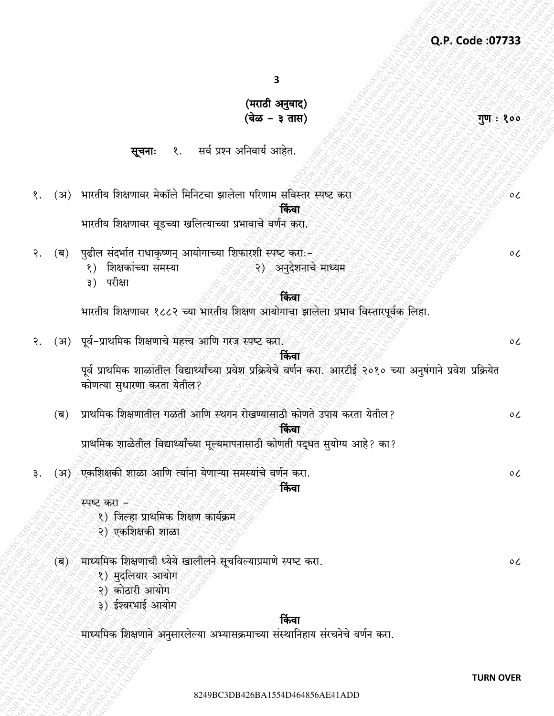गुण: १००

 $\circ c$ 

 $\mathfrak{o}$ 

 $\circ$ 

 $\circ c$ 

 $\circ c$ 

 $\overline{\mathbf{3}}$ 

# (मराठी अनुवाद) (वेळ – ३ तास)

१. सर्व प्रश्न अनिवार्य आहेत. सूचनाः

- १. (अ) भारतीय शिक्षणावर मेकॉले मिनिटचा झालेला परिणाम संविस्तर स्पष्ट करा किंवा भारतीय शिक्षणावर वृडच्या खलित्याच्या प्रभावाचे वर्णन करा.
- पुढील संदर्भात राधाकृष्णन् आयोगाच्या शिफारशी स्पष्ट करोः-(ब) २.
	- २) अनुदेशनाचे माध्यम १) शिक्षकांच्या समस्या
	- ३) परीक्षा

२.

# किंवा

भारतीय शिक्षणावर १८८२ च्या भारतीय शिक्षण आयोगाचा झालेला प्रभाव विस्तारपूर्वक लिहा.

- (अ) पूर्व-प्राथमिक शिक्षणाचे महत्त्व आणि गरज स्पष्ट करा.  $\circ c$ किंवा पूर्व प्राथमिक शाळांतील विद्यार्थ्यांच्या प्रवेश प्रक्रियेचे वर्णन करा. आरटीई २०१० च्या अनुषंगाने प्रवेश प्रक्रियेत कोणत्या सुधारणा करता येतील?
	- प्राथमिक शिक्षणातील गळती आणि स्थगन रोखण्यासाठी कोणते उपाय करता येतील?  $(\overline{\mathbf{p}})$ किंवा

प्राथमिक शाळेतील विद्यार्थ्यांच्या मूल्यमापनासाठी कोणती पद्धत सुयोग्य आहे? का?

(अ) एकशिक्षकी शाळा आणि त्यांना येणाऱ्या समस्यांचे वर्णन करा.

# किंवा

स्पष्ट करा ल

- १) जिल्हा प्राथमिक शिक्षण कार्यक्रम
- २) एकशिक्षकी शाळा
- (ब) माध्यमिक शिक्षणाची ध्येये खालीलने सूचविल्याप्रमाणे स्पष्ट करा.
	- १) मुदलियार आयोग
	- २) कोठारी आयोग
	- ३) ईश्वरभाई आयोग

# किंवा

माध्यमिक शिक्षणाने अनुसारलेल्या अभ्यासक्रमाच्या संस्थानिहाय संरचनेचे वर्णन करा.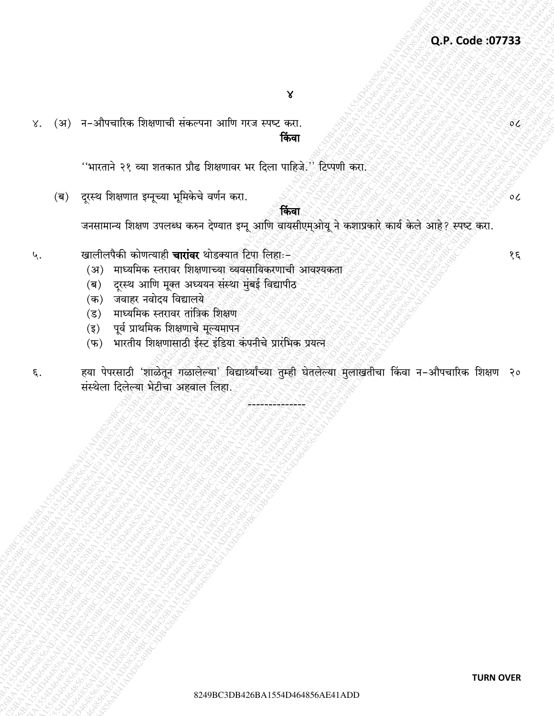(अ) न-औपचारिक शिक्षणाची संकल्पना आणि गरज स्पष्ट करा.  $X^{\bullet}$ किंवा

''भारताने २१ व्या शतकात प्रौढ शिक्षणावर भर दिला पाहिजे.'' टिप्पणी करा.

दूरस्थ शिक्षणात इग्नूच्या भूमिकेचे वर्णन करा.  $(\overline{\mathbf{a}})$ 

किंवा

जनसामान्य शिक्षण उपलब्ध करुन देण्यात इग्नू आणि वायसीएम्ओयू ने कशाप्रकारे कार्य केले आहे? स्पष्ट करा.

- खालीलपैकी कोणत्याही **चारांवर** थोडक्यात टिपा लिहाः– ५.
	- (अ) माध्यमिक स्तरावर शिक्षणाच्या व्यवसायिकरणाची आवश्यकता
	- (ब) दुरस्थ आणि मूक्त अध्ययन संस्था मुंबई विद्यापीठ
	- (क) जवाहर नवोदय विद्यालये
	- (ड) माध्यमिक स्तरावर तांत्रिक शिक्षण
	- पूर्व प्राथमिक शिक्षणाचे मूल्यमापन  $(\overline{\xi})$
	- भारतीय शिक्षणासाठी ईस्ट इंडिया कंपनीचे प्रारंभिक प्रयत्न  $(\overline{\Psi})$
- हया पेपरसाठी 'शाळेतून गळालेल्या' विद्यार्थ्यांच्या तुम्ही घेतलेल्या मुलाखतीचा किंवा न-औपचारिक शिक्षण २० ξ. संस्थेला दिलेल्या भेटीचा अहवाल लिहा.

१६

 $\mathcal{O}(\mathcal{L})$ 

 $\circ c$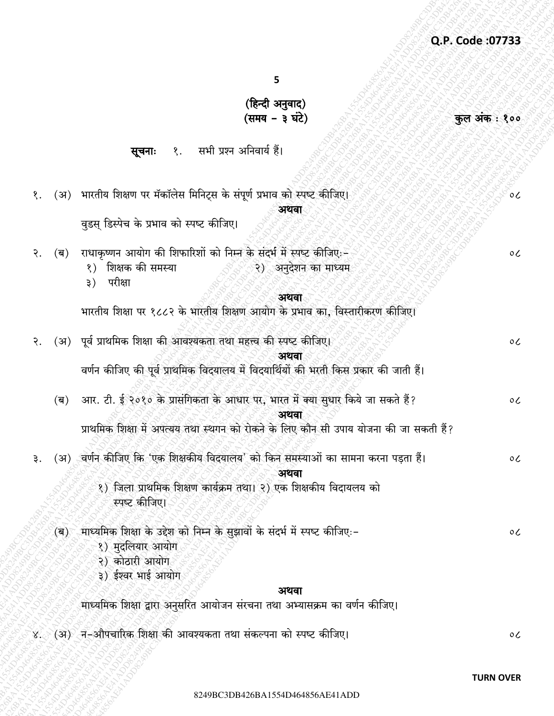कुल अंक: १००

 $\circ c$ 

 $\mathfrak{o}$ 

5

(हिन्दी अनुवाद) (समय - ३ घंटे)

सूचनाः १. सभी प्रश्न अनिवार्य हैं।

१. (अ) भारतीय शिक्षण पर मॅकॉलेस मिनिट्स के संपूर्ण प्रभाव को स्पष्ट कीजिए। अथवा

वडस डिस्पेच के प्रभाव को स्पष्ट कीजिए।

(ब) राधाकृष्णन आयोग की शिफारिशों को निम्न के संदर्भ में स्पष्ट कीजिए:-२.

- १) शिक्षक की समस्या २) अनुदेशन का माध्यम
- ३) परीक्षा

#### अथवा

भारतीय शिक्षा पर १८८२ के भारतीय शिक्षण आयोग के प्रभाव का, विस्तारीकरण कीजिए।

|     | २. (अ) पूर्व प्राथमिक शिक्षा की आवश्यकता तथा महत्त्व की स्पष्ट कीजिए।                  | $\mathfrak{o}$ |
|-----|----------------------------------------------------------------------------------------|----------------|
|     | अथवा                                                                                   |                |
|     | वर्णन कीजिए की पूर्व प्राथमिक विदयालय में विदयार्थियों की भरती किस प्रकार की जाती हैं। |                |
| (ब) | आर. टी. ई २०१० के प्रासंगिकता के आधार पर, भारत में क्या सुधार किये जा सकते हैं?        | $\mathfrak{0}$ |
|     | अथवा                                                                                   |                |
|     | प्राथमिक शिक्षा में अपत्यय तथा स्थगन को रोकने के लिए कौन सी उपाय योजना की जा सकती हैं? |                |
|     |                                                                                        |                |

(अ) वर्णन कीजिए कि 'एक शिक्षकीय विदयालय' को किन समस्याओं का सामना करना पड़ता हैं। ₹. अथवा

> १) जिला प्राथमिक शिक्षण कार्यक्रम तथा। २) एक शिक्षकीय विदायलय को स्पष्ट कीजिए।

(ब) माध्यमिक शिक्षा के उद्देश को निम्न के सुझावों के संदर्भ में स्पष्ट कीजिए:-

- १) मदलियार आयोग
- २) कोठारी आयोग

३) ईश्वर भाई आयोग

#### अथवा

माध्यमिक शिक्षा द्वारा अनुसरित आयोजन संरचना तथा अभ्यासक्रम का वर्णन कीजिए।

४. (अ) न-औपचारिक शिक्षा की आवश्यकता तथा संकल्पना को स्पष्ट कीजिए।

 $\circ c$ 

 $\circ c$ 

 $\circ c$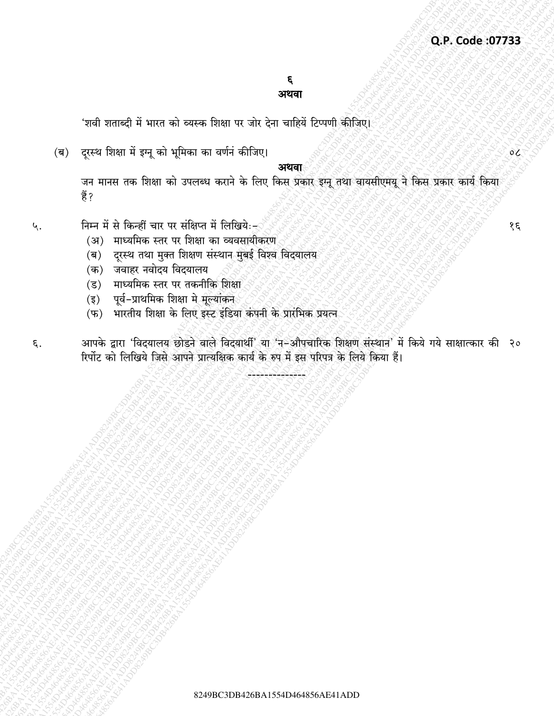#### ६ अथवा

'शवी शताब्दी में भारत को व्यस्क शिक्षा पर जोर देना चाहियें टिप्पणी कीजिए।

(ब) दूरस्थ शिक्षा में इग्नू को भूमिका का वर्णनं कीजिए।

#### अथवा

जन मानस तक शिक्षा को उपलब्ध कराने के लिए किस प्रकार इम्नू तथा वायसीएमयू ने किस प्रकार कार्य किया हैं ?

- निम्न में से किन्हीं चार पर संक्षिप्त में लिखियेः-५.
	- (अ) माध्यमिक स्तर पर शिक्षा का व्यवसायीकरण
	- (ब) दुरस्थ तथा मुक्त शिक्षण संस्थान मुंबई विश्व विदयालय
	- (क) जवाहर नवोदय विदयालय
	- (ड) माध्यमिक स्तर पर तकनीकि शिक्षा
	- पूर्व-प्राथमिक शिक्षा मे मूल्यांकन  $(\overline{\xi})$
	- (फ) भारतीय शिक्षा के लिए इस्ट इंडिया कंपनी के प्रारंभिक प्रयत्न
- आपके द्वारा 'विदयालय छोडने वाले विदयार्थी' या 'न–औपचारिक शिक्षण संस्थान' में किये गये साक्षात्कार की २० ξ. रिर्पोट को लिखिये जिसे आपने प्रात्यक्षिक कार्य के रुप में इस परिपत्र के लिये किया हैं।

 $\mathcal{S}\mathcal{E}$ 

 $0<sub>o</sub>$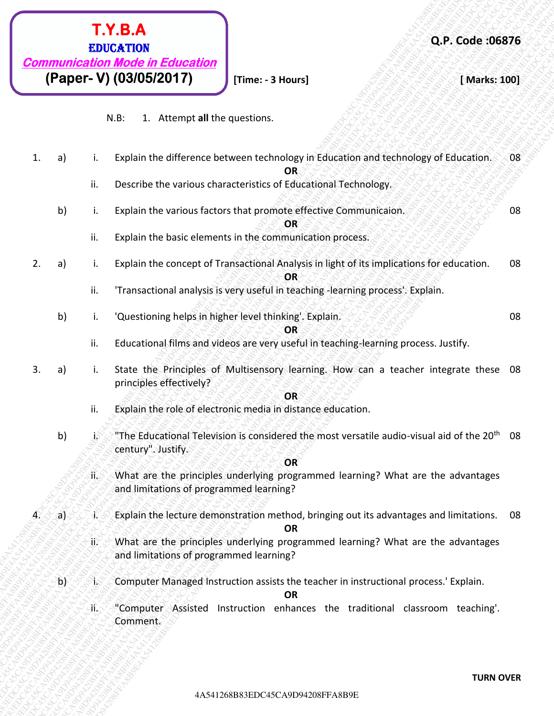

|    |                        | <b>EDUCATION</b><br><b>Communication Mode in Education</b> |                                                                                                                                  | Q.P. Code: 06876 |    |
|----|------------------------|------------------------------------------------------------|----------------------------------------------------------------------------------------------------------------------------------|------------------|----|
|    |                        | (Paper- V) (03/05/2017)                                    | [Time: - 3 Hours]                                                                                                                | [Marks: 100]     |    |
|    |                        | $N.B$ :                                                    | 1. Attempt all the questions.                                                                                                    |                  |    |
| 1. | a)<br>i.               |                                                            | Explain the difference between technology in Education and technology of Education.<br><b>OR</b>                                 |                  | 08 |
|    | ii.                    |                                                            | Describe the various characteristics of Educational Technology.                                                                  |                  |    |
|    | b)<br>i.               |                                                            | Explain the various factors that promote effective Communicaion.                                                                 |                  | 08 |
|    | ii.                    |                                                            | OR<br>Explain the basic elements in the communication process.                                                                   |                  |    |
| 2. | a)<br>i.               |                                                            | Explain the concept of Transactional Analysis in light of its implications for education.<br>OR                                  |                  | 08 |
|    | ii.                    |                                                            | 'Transactional analysis is very useful in teaching -learning process'. Explain.                                                  |                  |    |
|    | b)                     |                                                            | 'Questioning helps in higher level thinking'. Explain.                                                                           |                  | 08 |
|    | ii.                    |                                                            | OR<br>Educational films and videos are very useful in teaching-learning process. Justify.                                        |                  |    |
| 3. | $\mathsf{a}$<br>i.     | principles effectively?                                    | State the Principles of Multisensory learning. How can a teacher integrate these 08                                              |                  |    |
|    | ii.                    |                                                            | OR<br>Explain the role of electronic media in distance education.                                                                |                  |    |
|    | b)<br>J.               | century". Justify.                                         | "The Educational Television is considered the most versatile audio-visual aid of the 20 <sup>th</sup> 08                         |                  |    |
|    | ्रा्र                  |                                                            | OR<br>What are the principles underlying programmed learning? What are the advantages<br>and limitations of programmed learning? |                  |    |
| 4. | a)<br>$\star$          |                                                            | Explain the lecture demonstration method, bringing out its advantages and limitations.  08<br><b>OR</b>                          |                  |    |
|    | ′ii                    |                                                            | What are the principles underlying programmed learning? What are the advantages<br>and limitations of programmed learning?       |                  |    |
|    | $\mathsf{p}\mathsf{p}$ | ÏS,                                                        | Computer Managed Instruction assists the teacher in instructional process.' Explain.<br><b>OR</b>                                |                  |    |
|    | й.                     | Comment.                                                   | "Computer Assisted Instruction enhances the traditional classroom teaching'.                                                     |                  |    |
|    |                        |                                                            |                                                                                                                                  |                  |    |
|    |                        |                                                            |                                                                                                                                  | <b>TURN OVER</b> |    |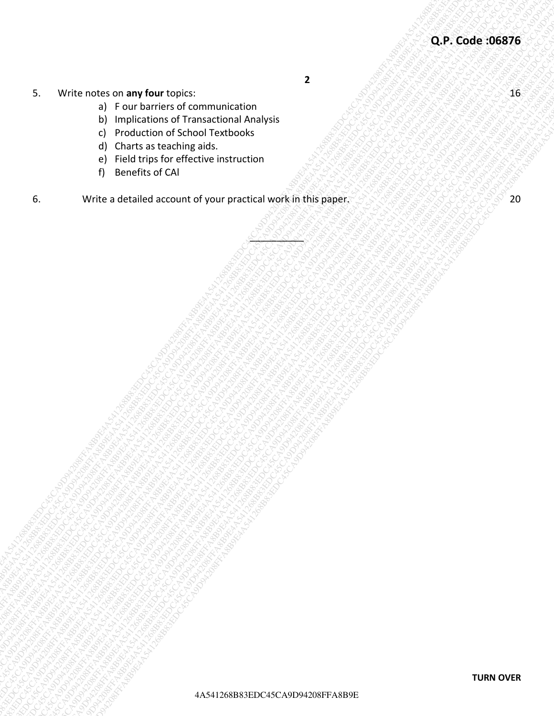**2** 

P 2 2 2 2 1

- 5. Write notes on **any four** topics: 16
	- a) F our barriers of communication
	- b) Implications of Transactional Analysis
	- c) Production of School Textbooks
	- d) Charts as teaching aids.
	- e) Field trips for effective instruction
	- f) Benefits of CAl
- 4A451610888.88 Any foor logics.<br>
a) Frank harmon of contrastic contrastic contrastic contrastic contrastic contrastic contrastic contrastic contrastic contrastic contrastic contrastic contrastic contrastic contrastic cont 5. Wittendas or any four copies:<br>
any four-action of commentation<br>
of photostarised a commentation<br>
of photostarised account of your series and companies<br>
any four-actions commentation<br>
account of your series account of yo EX Wire notes on any four topics:<br>
a) four briefs concurrences concurrences<br>
a) concert second concurrences<br>
a) concert second concurrences<br>
a) concert second concurrence in a concert of the concert of the concert of the c 4<br>
4 A5412688 OF AN Four Contract of Contract of Case of Case of Case of Case of Case of Case of Case of Case of Case of Case of Case of Case of Case of Case of Case of Case of Case of Case of Case of Case of Case of Case  $\begin{bmatrix}\n\text{Q.P. Code: } \text{O.P. Code: } \text{G.P. Code: } \text{G.P. Code: } \text{G.P. Code: } \text{G.P. Code: } \text{G.P. Code: } \text{G.P. Code: } \text{G.P. Code: } \text{G.P. Code: } \text{G.P. Code: } \text{G.P. Code: } \text{G.P. Code: } \text{G.P. Code: } \text{G.P. Code: } \text{G.P. Code: } \text{G.P. Code: } \text{G.P. Code: } \text{G.P. Code: } \text{G.P. Code: } \text{G.P. Code: } \text{G.P. Code: } \text{G.P. Code: } \text{G.P.$  $\begin{bmatrix} \text{Q.P. Code BGS75} \\ \text{Q.P. Code BGS75} \\ \text{Q.P. Code BGS75} \\ \text{Q.P. Code BGS75} \\ \text{Q.P. Code BGS75} \\ \text{Q.P. Code BGS75} \\ \text{Q.P. Code BGS75} \\ \text{Q.P. Code BGS75} \\ \text{Q.P. Code BGS75} \\ \text{Q.P. Code BGS75} \\ \text{Q.P. Code BGS75} \\ \text{Q.P. Code BGS75} \\ \text{Q.P. Code BGS75} \\ \text{Q.P. Code BGS75} \\ \text{Q.P. Code BGS75} \\ \text{Q.P. Code BGS75} \\ \text{Q.P.$  $\begin{bmatrix} \text{Q.P. Code BGS75} \\ \text{Q.P. Code BGS75} \\ \text{Q.P. Code BGS75} \\ \text{Q.P. Code BGS75} \\ \text{Q.P. Code BGS75} \\ \text{Q.P. Code BGS75} \\ \text{Q.P. Code BGS75} \\ \text{Q.P. Code BGS75} \\ \text{Q.P. Code BGS75} \\ \text{Q.P. Code BGS75} \\ \text{Q.P. Code BGS75} \\ \text{Q.P. Code BGS75} \\ \text{Q.P. Code BGS75} \\ \text{Q.P. Code BGS75} \\ \text{Q.P. Code BGS75} \\ \text{Q.P. Code BGS75} \\ \text{Q.P.$  $\begin{bmatrix} \text{Q.P. Code BGS75} \\ \text{Q.P. Code BGS75} \\ \text{Q.P. Code BGS75} \\ \text{Q.P. Code BGS75} \\ \text{Q.P. Code BGS75} \\ \text{Q.P. Code BGS75} \\ \text{Q.P. Code BGS75} \\ \text{Q.P. Code BGS75} \\ \text{Q.P. Code BGS75} \\ \text{Q.P. Code BGS75} \\ \text{Q.P. Code BGS75} \\ \text{Q.P. Code BGS75} \\ \text{Q.P. Code BGS75} \\ \text{Q.P. Code BGS75} \\ \text{Q.P. Code BGS75} \\ \text{Q.P. Code BGS75} \\ \text{Q.P.$  $\begin{bmatrix} \text{Q.P. Code BGS75} \\ \text{Q.P. Code BGS75} \\ \text{Q.P. Code BGS75} \\ \text{Q.P. Code BGS75} \\ \text{Q.P. Code BGS75} \\ \text{Q.P. Code BGS75} \\ \text{Q.P. Code BGS75} \\ \text{Q.P. Code BGS75} \\ \text{Q.P. Code BGS75} \\ \text{Q.P. Code BGS75} \\ \text{Q.P. Code BGS75} \\ \text{Q.P. Code BGS75} \\ \text{Q.P. Code BGS75} \\ \text{Q.P. Code BGS75} \\ \text{Q.P. Code BGS75} \\ \text{Q.P. Code BGS75} \\ \text{Q.P.$  $\begin{bmatrix} \text{Q.P. Code BGS75} \\ \text{Q.P. Code BGS75} \\ \text{Q.P. Code BGS75} \\ \text{Q.P. Code BGS75} \\ \text{Q.P. Code BGS75} \\ \text{Q.P. Code BGS75} \\ \text{Q.P. Code BGS75} \\ \text{Q.P. Code BGS75} \\ \text{Q.P. Code BGS75} \\ \text{Q.P. Code BGS75} \\ \text{Q.P. Code BGS75} \\ \text{Q.P. Code BGS75} \\ \text{Q.P. Code BGS75} \\ \text{Q.P. Code BGS75} \\ \text{Q.P. Code BGS75} \\ \text{Q.P. Code BGS75} \\ \text{Q.P.$  $\begin{bmatrix} \text{Q.P. Code BGS75} \\ \text{Q.P. Code BGS75} \\ \text{Q.P. Code BGS75} \\ \text{Q.P. Code BGS75} \\ \text{Q.P. Code BGS75} \\ \text{Q.P. Code BGS75} \\ \text{Q.P. Code BGS75} \\ \text{Q.P. Code BGS75} \\ \text{Q.P. Code BGS75} \\ \text{Q.P. Code BGS75} \\ \text{Q.P. Code BGS75} \\ \text{Q.P. Code BGS75} \\ \text{Q.P. Code BGS75} \\ \text{Q.P. Code BGS75} \\ \text{Q.P. Code BGS75} \\ \text{Q.P. Code BGS75} \\ \text{Q.P.$  $\begin{bmatrix} \text{Q.P. Code BGS75} \\ \text{Q.P. Code BGS75} \\ \text{Q.P. Code BGS75} \\ \text{Q.P. Code BGS75} \\ \text{Q.P. Code BGS75} \\ \text{Q.P. Code BGS75} \\ \text{Q.P. Code BGS75} \\ \text{Q.P. Code BGS75} \\ \text{Q.P. Code BGS75} \\ \text{Q.P. Code BGS75} \\ \text{Q.P. Code BGS75} \\ \text{Q.P. Code BGS75} \\ \text{Q.P. Code BGS75} \\ \text{Q.P. Code BGS75} \\ \text{Q.P. Code BGS75} \\ \text{Q.P. Code BGS75} \\ \text{Q.P.$  $\begin{bmatrix} \text{Q.P. Code BGS75} \\ \text{Q.P. Code BGS75} \\ \text{Q.P. Code BGS75} \\ \text{Q.P. Code BGS75} \\ \text{Q.P. Code BGS75} \\ \text{Q.P. Code BGS75} \\ \text{Q.P. Code BGS75} \\ \text{Q.P. Code BGS75} \\ \text{Q.P. Code BGS75} \\ \text{Q.P. Code BGS75} \\ \text{Q.P. Code BGS75} \\ \text{Q.P. Code BGS75} \\ \text{Q.P. Code BGS75} \\ \text{Q.P. Code BGS75} \\ \text{Q.P. Code BGS75} \\ \text{Q.P. Code BGS75} \\ \text{Q.P.$ 4. Write roles on any four locals computations of the computations of the computations of the computations of the computations of the computations of the computations of the computations of the computations of the computa 4A541268B83EDC45CA9D94208FFA8B9E4A541268B83EDC45CA9D94208FFA8B9E4A541268B83EDC45CA9D94208FFA8B9E4A541268B83EDC45CA9D94208FFA8B9E4A541268B83EDC45CA9D94208FFA8B9E4A541268B83EDC45CA9D94208FFA8B9E 4A4126888.01 any four Lopics.<br>
4A54126888 and the communication of communication of communications and account of communications and account of communications and account of communications and account of communications and  $\begin{bmatrix}\n\mathbf{Q.P. Code: 95876 \\
\mathbf{Q.P. Code: 95876}\n\mathbf{Q.P. Code: 95876\n\end{bmatrix}\n\begin{bmatrix}\n\mathbf{Q.P. Code: 95876\n\end{bmatrix}\n\begin{bmatrix}\n\mathbf{Q.P. Code: 95876\n\end{bmatrix}\n\begin{bmatrix}\n\mathbf{Q.P. Code: 95876\n\end{bmatrix}\n\begin{bmatrix}\n\mathbf{Q.P. Code: 95876\n\end{bmatrix}\n\begin{bmatrix}\n\mathbf{Q.P. Code: 95876\n\end{bmatrix}\n\begin{bmatrix}\n$ 5. Write notes cn amy four foots.<br>
a) Tore bandwise of Carriera contractation and a<br>
c) contractation of Samuel Textures.<br>
c) contractation and account of your practice memorian<br>
f) contractation account of your practice m 4<br>
4 A Francisco Se anno Kanad Tool (1942)<br>
4 December 43 Concernent Associates<br>
4 December 426 CA9<br>
4 December 426 CA9<br>
4 December 426 CA9<br>
4 December 426 CA9<br>
4 North as Castalles account of your practical work in this p 4After notes on any four traject<br>
a) The Latitude of Connue included<br>
a) The Latitude of Case (and C43)<br>
a) Character and C431<br>
a) The latitude of C431<br>
b) The Latitude of Case of C43126<br>
b) The Latitude of Case of Packar 6. Write a detailed account of your practical work in this paper. 20 20 20 20 20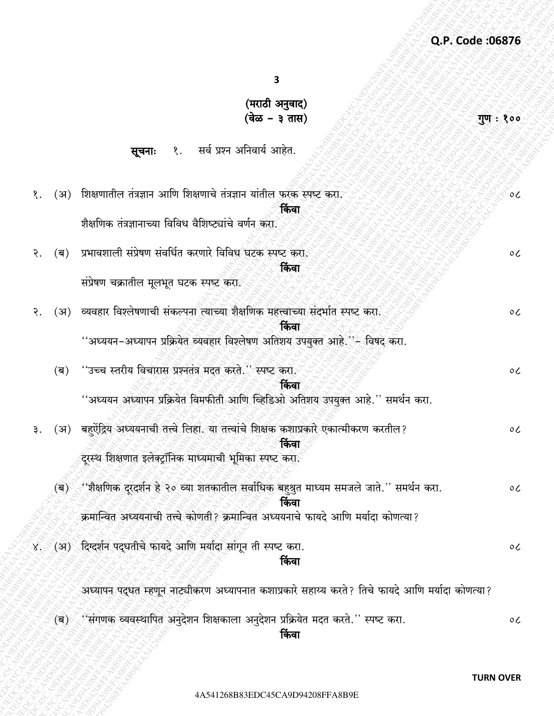गुण : १००

 $\overline{\mathbf{3}}$ 

# (मराठी अनुवाद)<br>(वेळ – ३ तास)

१. सर्व प्रश्न अनिवार्य आहेत. सूचनाः

| $\circ c$<br>$\circ c$                                                                           |
|--------------------------------------------------------------------------------------------------|
|                                                                                                  |
|                                                                                                  |
|                                                                                                  |
|                                                                                                  |
|                                                                                                  |
|                                                                                                  |
|                                                                                                  |
| $\circ c$                                                                                        |
|                                                                                                  |
|                                                                                                  |
| $\circ c$                                                                                        |
|                                                                                                  |
|                                                                                                  |
| $\circ c$                                                                                        |
|                                                                                                  |
|                                                                                                  |
|                                                                                                  |
| $\circ c$                                                                                        |
|                                                                                                  |
|                                                                                                  |
| $\circ c$                                                                                        |
|                                                                                                  |
| अध्यापन पद्धत म्हणून नाट्यीकरण अध्यापनात कशाप्रकारे सहाय्य करते? तिचे फायदे आणि मर्यादा कोणत्या? |
|                                                                                                  |

्<br>ब) असंगणक व्यवस्थापित अनुदेशन शिक्षकाला अनुदेशन प्रक्रियेत मदत करते.'' स्पष्ट करा.  $\circ c$ किंवा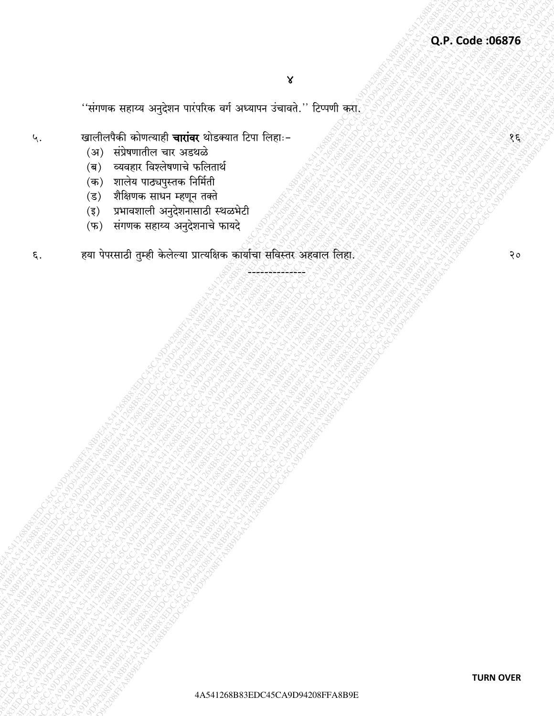''संगणक सहाय्य अनुदेशन पारंपरिक वर्ग अध्यापन उंचावते.'' टिप्पणी <u>कर</u>्रा

- खालीलपैकी कोणत्याही **चारांवर** थोडक्यात टिपा लिहाः-५.
	- (अ) संप्रेषणातील चार अडथळे
	- (ब) व्यवहार विश्लेषणाचे फलितार्थ
	- (क) शालेय पाठ्यपुस्तक निर्मिती
	- (ड) शैक्षिणक साधन म्हणून तक्ते
	- (इ) प्रभावशाली अनुदेशनासाठी स्थळभेटी
	- (फ) संगणक सहाय्य अनुदेशनाचे फायदे
- हया पेपरसाठी तुम्ही केलेल्या प्रात्यक्षिक कार्याचा सविस्तर अहवाल लिहा. ξ.

 $20$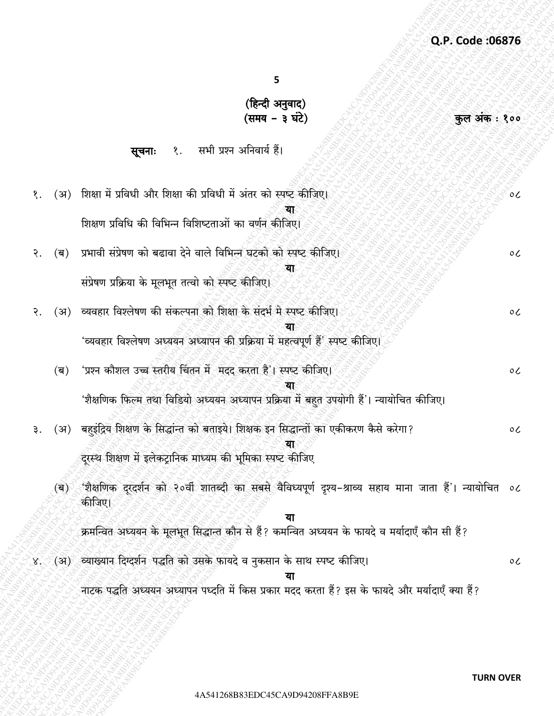कुल अंक: १००

5

# (हिन्दी अनुवाद) (समय – ३ घंटे)

#### सभी प्रश्न अनिवार्य हैं। सूचनाः १.

१. (अ) शिक्षा में प्रविधी और शिक्षा की प्रविधी में अंतर को स्पष्ट कीजिए।  $\circ c$ शिक्षण प्रविधि की विभिन्न विशिष्टताओं का वर्णन कीजिए। प्रभावी संप्रेषण को बढावा देने वाले विभिन्न घटको को स्पष्ट कीजिए। (ब) २.  $\circ c$ संप्रेषण प्रक्रिया के मूलभूत तत्वो को स्पष्ट कीजिए। व्यवहार विश्लेषण की संकल्पना को शिक्षा के संदर्भ मे स्पष्ट कीजिए। २.  $(3)$  $\circ c$ 'व्यवहार विश्लेषण अध्ययन अध्यापन की प्रक्रिया में महत्वपूर्ण हैं' स्पष्ट कीजिए। 'प्रश्न कौशल उच्च स्तरीय चिंतन में मदद करता है'। स्पष्ट कीजिए।  $(\overline{\mathbf{q}})$  $\circ c$ 'शैक्षणिक फिल्म तथा विडियो अध्ययन अध्यापन प्रक्रिया में बहुत उपयोगी हैं'। न्यायोचित कीजिए। बहइंद्रिय शिक्षण के सिद्धांन्त को बताइये। शिक्षक इन सिद्धान्तों का एकीकरण कैसे करेगा?  $(3)$ ₹.  $\circ c$ 

दरस्थ शिक्षण में इलेकटानिक माध्यम की भूमिका स्पष्ट कीजिए

'शैक्षणिक दरदर्शन को २०वीं शातब्दी का सबसे वैविध्यपूर्ण दृश्य–श्राव्य सहाय माना जाता हैं'। न्यायोचित  $(a)$  $\circ c$ कीजिए।

क्रमन्वित अध्ययन के मूलभूत सिद्धान्त कौन से हैं? कमन्वित अध्ययन के फायदे व मर्यादाएँ कौन सी हैं?

(अ) व्याख्यान दिग्दर्शन पद्धति को उसके फायदे व नुकसान के साथ स्पष्ट कीजिए।  $8.$ 

नाटक पद्धति अध्ययन अध्यापन पध्दति में किस प्रकार मदद करता हैं? इस के फायदे और मर्यादाएँ क्या हैं?

 $\circ$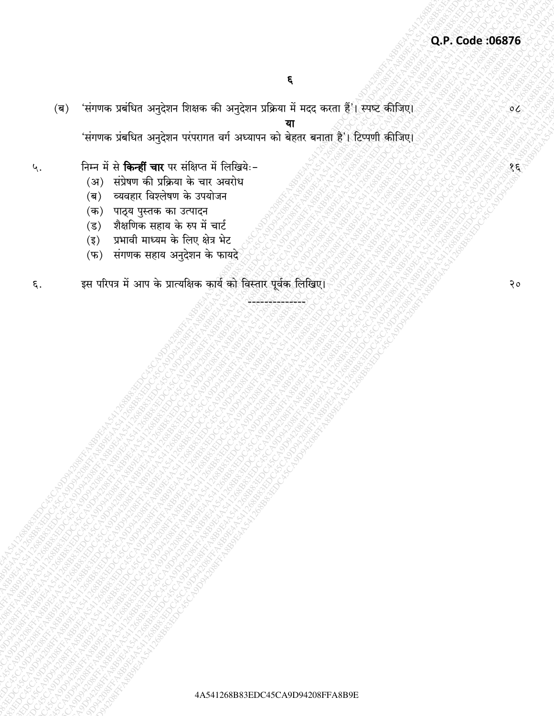'संगणक प्रबंधित अनुदेशन शिक्षक की अनुदेशन प्रक्रिया में मदद करता हैं'। स्पष्ट कीजिए।  $(\overline{q})$ 

'संगणक प्रंबधित अनुदेशन परंपरागत वर्ग अध्यापन को बेहतर बनाता है'। टिप्पणी कीजिए।

#### निम्न में से किन्हीं चार पर संक्षिप्त में लिखियेः-५.

- (अ) संप्रेषण की प्रक्रिया के चार अवरोध
- (ब) व्यवहार विश्लेषण के उपयोजन
- (क) पाठ्य पुस्तक का उत्पादन
- (ड) शैक्षणिक सहाय के रुप में चार्ट
- प्रभावी माध्यम के लिए क्षेत्र भेट  $(\overline{\xi})$
- (फ) संगणक सहाय अनुदेशन के फायदे

#### इस परिपत्र में आप के प्रात्यक्षिक कार्य को विस्तार पूर्वक लिखिए। ξ.

 $20$ 

 $\delta$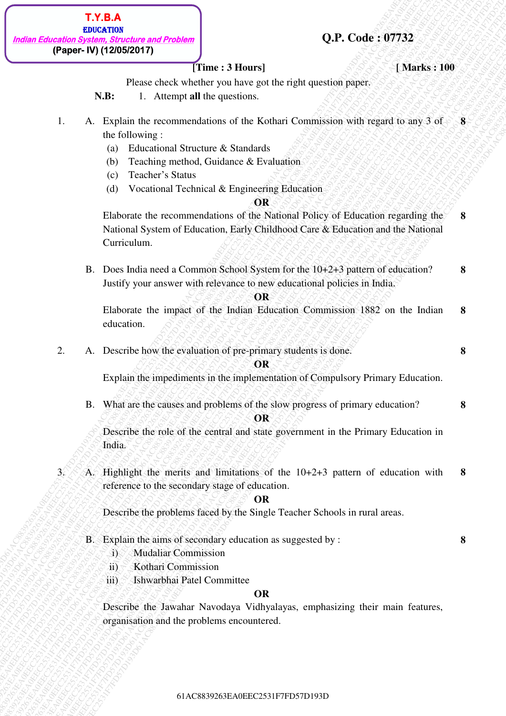# **Q.P. Code : 07732**

| <b>T.Y.B.A</b>                                |
|-----------------------------------------------|
| <b>EDUCATION</b>                              |
| ndian Education System, Structure and Problem |
| (Paper- IV) (12/05/2017)                      |

# *<u><b>Time : 3 Hours]* **EXALL EXALL Marks : 100**</u>

**8** 

Please check whether you have got the right question paper.

**N.B:** 1. Attempt **all** the questions.

- 1. A. Explain the recommendations of the Kothari Commission with regard to any 3 of the following : **8** 
	- (a) Educational Structure & Standards
	- (b) Teaching method, Guidance & Evaluation
	- (c) Teacher's Status
	- (d) Vocational Technical & Engineering Education

#### **OR**

**(Paper-FD)** (120882917)<br> **(Paper-FD)** (1208829217)<br>
Time: 3 Human later get its regist question paper.<br>
1. A. Archives commentations of the Kechari Commission with regist to any 3 of<br>
2. Trajetion the excelent Structure **EXECUTE:**<br> **EXECUTE:** The constrained and the specifies of the Collision of the Collision of the Collision of the Collision of the Collision of the Collision of the Collision of the Collision of the Collision of the Coll 618.1838838883883826388382<br> **(Paper N) (120052017)** (Trunce 2.1 Hours) (Trunce 2.1 Hours) (Analytic System of Pictor (sectors) we have got on the Reality (section of the Reality of the Richard Constitution with respect to **EXAMPLE 2028**<br> **EXAMPLE 2028 CARR VENET FIRENCE 21 House | O.P. COOke 5 077322<br>
THE PRESCRIP PROPERTIES THE VALUE OF THE VALUE OF THE VALUE OF THE VALUE OF THE VALUE OF THE VALUE OF THE VALUE OF THE VALUE OF THE VALUE OF EXAMPLE 28**<br> **EXAMPLE 28 ACROS 2013**<br> **Property (1908)**<br> **Property (1908)**<br> **Property (1908)**<br> **CALC TRIVERTS 11** Acrossical Acrossical Conservation control in the property of the space of the formulations of the Kediant **EXAMPLE THE CONSULTER CONSULTER CONSULTER CONSULTER CONSULTER CONSULTER CONSULTER CONSULTER CONSULTER CONSULTER CONSULTER CONSULTER CONSULTER CONSULTER CONSULTER CONSULTER CONSULTER CONSULTER CONSULTER CONSULTER CONSULTE EXECUTE:**<br> **EXECUTE:** (**FIRENCIALS ACTION**) (**TIME:** 13 **Boars**) (**DATE:** 13 **Boars**) (**FIRENCIALS ACTION**) (**FIRENCIALS ACTION**) (**FIRENCIALS ACTION**) (**FIRENCIALS ACTION**) (**FIRENCIALS ACTION**) (**FIRENCIALS ACTION**) ( **Example 218 ACSES 202839263**<br> **Example 218 ACSES 719**<br> **CALIC CONSULTS**<br> **CALIC CONSULTS**<br> **CALIC CONSULTS**<br> **CALIC CONSULTS**<br> **CALIC CONSULTS**<br> **CALIC CONSULTS**<br> **CALIC CONSULTS**<br> **CALIC CONSULTS**<br> **CALIC CONSULTS**<br> **CA Example 218 ACSES 202839263**<br> **Example 218 ACSES 719**<br> **CALIC CONSULTS**<br> **CALIC CONSULTS**<br> **CALIC CONSULTS**<br> **CALIC CONSULTS**<br> **CALIC CONSULTS**<br> **CALIC CONSULTS**<br> **CALIC CONSULTS**<br> **CALIC CONSULTS**<br> **CALIC CONSULTS**<br> **CA Example 218 ACSES 202839263**<br> **Example 218 ACSES 719**<br> **CALIC CONSULTS**<br> **CALIC CONSULTS**<br> **CALIC CONSULTS**<br> **CALIC CONSULTS**<br> **CALIC CONSULTS**<br> **CALIC CONSULTS**<br> **CALIC CONSULTS**<br> **CALIC CONSULTS**<br> **CALIC CONSULTS**<br> **CA Example 218 ACSES 202839263**<br> **Example 218 ACSES 719**<br> **CALIC CONSULTS**<br> **CALIC CONSULTS**<br> **CALIC CONSULTS**<br> **CALIC CONSULTS**<br> **CALIC CONSULTS**<br> **CALIC CONSULTS**<br> **CALIC CONSULTS**<br> **CALIC CONSULTS**<br> **CALIC CONSULTS**<br> **CA Example 218**<br> **Example 2183892817**<br> **CAREF CONSIDER THE CAREF CONSIDE CONSIDE CONSIDER CONSIDER CONSIDERATIVE CONSIDE CONSIDERATIVE CONSIDERATIVE CONSIDERATIVE CONSIDER ACTION OF**  $\alpha$  **FOR**  $\alpha$  **FOR**  $\alpha$  **FOR**  $\alpha$  **FOR**  $\alpha$  **Example Consumer and Produces**<br> **(Paper-Wi) (1806/20117)**<br> **V.B.** Picture check whether you know patcher individued paper.<br>
1. A. English the recommendation of the Kickmind Commission with regard in any 5 of a paper in t **Example 18.3**<br> **EXAMPLE THE CONSERVENT (SECULAR CONSERVENT)**<br> **SABE:** (Paper-Pro) (1200/2029)<br>
SABE: L. An Explicit the recommendations of the Keltical Computistics with regard in any 3 of 4 B.<br>
1. A. Explicit the recomm **EXECTS THE CASE ACT THE CASE ACT THE CASE AND THE CASE AND THE CASE AND THE CASE AND THE CASE AND THE CASE AND THE CASE AND THE CASE AND THE CASE AND THE CASE AND THE CASE AND THE CASE AND ACT THE CASE AND INTERFERENCE C EXECUTE:**<br> **EXECUTE:**<br> **EXECUTE:**<br> **FROM CONSIDERATION**<br> **EXECUTE:**<br> **FROM CONSIDERATION**<br> **EXECUTE:**<br> **FROM CONSIDERATION**<br> **EXECUTE:**<br> **A.** A Executive M Solution are the result of contraction with respect to any 3 of<br> **EXERAL**<br> **EXERCISE THE CONSULT CONSULT CONSULTS (STATE CONSULTS)**<br> **PERIOD CONSULTS**<br> **FRACE CONSULTS** THE CONSULTS ON THE CONSULTS ON THE CONSULTS (STATE ASSESS)<br> **A. A. Equipo the execution and the Consultation**<br> **EXER EXERAS**<br> **(Papel Vit) (20082017)**<br> **EVALUATION THE STREET ON THE CONSULTS ON THE CONSULTS (SEE C2531FTD)<br>
12. SULTIMETER CONSULTS ON THE CONSULTS ON THE CONSULTS ON THE CONSULTS ON THE STREET ON THE CONSULTS ON THE CONSU EXERENT TRANSASSES**<br> **EXERCISE ACCRECITE (ACCRECITE ACCRECITE ACCRECITE ACCRECITE ACCRECITE ACCRECITE ACCRECITE ACCRECITE ACCRECITE ACCRECITE ACCRECITE ACCRECITE ACCRECITE ACCRECITE ACCRECITE ACCRECITE ACCRECITE ACCRECIT EXERCT:**<br> **ECAL CONSULTS ACTION**<br> **ECAL CONSULTS (TRACE)**<br> **ECAL CONSULTS (TRACE)**<br> **ECAL CONSULTS (TRACE)**<br> **ECAL CONSULTS (TRACE)**<br> **EXERCT:** 1. A Explication of the recommendation of the Kelture Construction with resp Elaborate the recommendations of the National Policy of Education regarding the National System of Education, Early Childhood Care & Education and the National Curriculum. **8** 

B. Does India need a Common School System for the 10+2+3 pattern of education? Justify your answer with relevance to new educational policies in India. **8** 

#### **OR**

Elaborate the impact of the Indian Education Commission 1882 on the Indian education. **8** 

2. A. Describe how the evaluation of pre-primary students is done. **8** 

#### **OR**

Explain the impediments in the implementation of Compulsory Primary Education.

B. What are the causes and problems of the slow progress of primary education? **8** 

# **OR**

Describe the role of the central and state government in the Primary Education in India.

- 
- 3. A. Highlight the merits and limitations of the 10+2+3 pattern of education with reference to the secondary stage of education. **8**

## **OR**

Describe the problems faced by the Single Teacher Schools in rural areas.

- B. Explain the aims of secondary education as suggested by :
	- i) Mudaliar Commission
	- ii) Kothari Commission
	- iii) Ishwarbhai Patel Committee

#### **OR**

Describe the Jawahar Navodaya Vidhyalayas, emphasizing their main features, organisation and the problems encountered.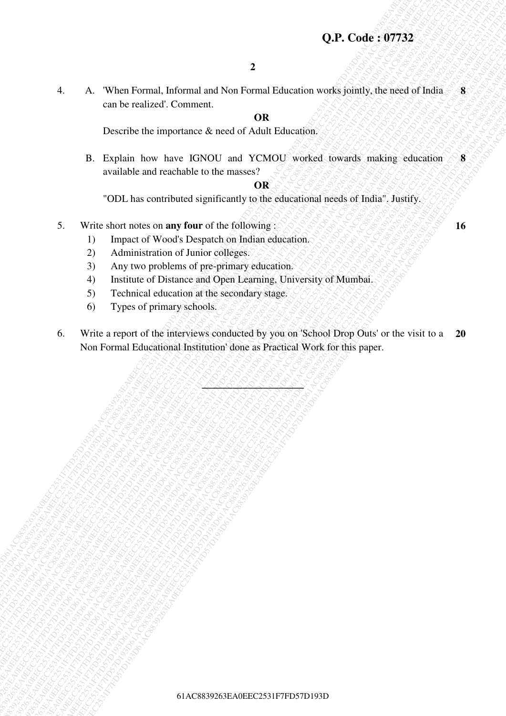# **Q.P. Code : 07732**

4. A. 'When Formal, Informal and Non Formal Education works jointly, the need of India can be realized'. Comment. **8** 

# **OR**

Describe the importance & need of Adult Education.

B. Explain how have IGNOU and YCMOU worked towards making education available and reachable to the masses? **8** 

#### **OR**

"ODL has contributed significantly to the educational needs of India". Justify.

- 5. Write short notes on **any four** of the following :
	- 1) Impact of Wood's Despatch on Indian education.
	- 2) Administration of Junior colleges.
	- 3) Any two problems of pre-primary education.
	- 4) Institute of Distance and Open Learning, University of Mumbai.
	- 5) Technical education at the secondary stage.
	- 6) Types of primary schools.
- **42**<br> **62.** When Formal Information 2 Formal Education weeks jointly, the need of Nation 2 Constrained ACSB3161 Constrained ACSB436 (The method of the second of Nation 2 Formal Education 2 Constrained accounts and six of **Q.P. Code :** 197753.<br>  $\frac{1}{2}$  can be verifived. Comment and Non-Formal TCM control works showed to wants and driven and Control to the control of the state of the state of the state of the state of the state of the sta **4.** A. "When Kyrmal, Indemnation Control and New York (2018) **OR** Can be write to the control and the control and the control and the control and the control and the control and the control and the control and the contro 61AC8839263EA0EEC2531F7FD57D193D61AC8839263EA0EEC2531F7FD57D193D61AC8839263EA0EEC2531F7FD57D193D61AC8839263EA0EEC2531F7FD57D193D61AC8839263EA0EEC2531F7FD57D193D61AC8839263EA0EEC2531F7FD57D193D **C.P.** Code: **97732**<br>
4. A. "When Fromal, Informal and Non Tormal Tolacation scarfiely, the research Thinkin States can be a context of the stress of Alberta Case (a) **ACCES**<br>
18. Explain lace last the CeC Record Acts and **C.P. Code: 97782**<br>
4. A. When Formal, Informal and Non-Formal, Tackminian reading the exact of Flokin is a summarized Community of the Control of Tackminian Records and Tackminian Records and Tackminian readings.<br>
16. De **62. 6. We are formulated and Note The Control and New York Control and New York Control and New York Control and New York Control and New York Control and New York Control and New York Control and New York Control an 62. 62. Code : 07732**<br> **62. Connective the interpretation of the Mathematical Structure with**  $\frac{1}{2}$ **Code : 08. <b>Explore the interpretation of the Mathematical Structure interpretation of the mathematical Structur 62. 62. Code : 07732**<br> **62. Connective the interpretation of the Mathematical Structure with**  $\frac{1}{2}$ **Code : 08. <b>Explore the interpretation of the Mathematical Structure interpretation of the mathematical Structur 62. 62. Code : 07732**<br> **62. Connective the interpretation of the Mathematical Structure with**  $\frac{1}{2}$ **Code : 08. <b>Explore the interpretation of the Mathematical Structure interpretation of the mathematical Structur 62. 62. Code : 07732**<br> **62. Connective the interpretation of the Mathematical Structure with**  $\frac{1}{2}$ **Code : 08. <b>Explore the interpretation of the Mathematical Structure interpretation of the mathematical Structur 62. C. Code: 37732**<br>
4. A. When Formal, Informal taking Your Francisco version of the control of the control of the control of the control of the control of the control of the control of the control of the control of t 61. A. Waari technical Individual and New Young Ecleanions weaks jointly, this model of the mail of the main of the state of the content of the content of the content of the content of the content of the content of the con 61AC8839263EA0EEC2531F7FD57D193D61AC8839263EA0EEC2531F7FD57D193D61AC8839263EA0EEC2531F7FD57D193D61AC8839263EA0EEC2531F7FD57D193D61AC8839263EA0EEC2531F7FD57D193D61AC8839263EA0EEC2531F7FD57D193D **62.** Code: **67732**<br>
4. A. When Formal Informal and Non-Formal Februation works jointly, the west of India . 8<br>
Describe the importance & need Adath Education.<br> **Fraction behavior and Activity and VCOV** worked research **6 C.P. Code: 197332**<br> **4.**<br>
A. When Formed, includes und Action Formed Foliocotion weeks jointly, the week of Folio. 8<br>
Describe the importance & react of Addit Education<br> **E.** Explain to have EDNOV were also years a secon 618382828<br>
62 AC When Formula, Informula and Non-Terma 17 diametric words picinity, the result of Todia<br>
17 Consider and Consider Case of Action Considers Consider Strategies of the SPS and Technical Case (Section Case (Se **42**<br>
4. A. When Versuch International New Yornes and Zalacadors were systematic the measured of Indian and The Fourier CRSS<br>
1236 CASE Experiment Societies and CASE CASE CONTENENT (with a strategy consistent of the system **42.** A. Winn Formul, Initimesi and Non-Formul Halamation versis painty, the mean of India<br>
can be recived the importance at each of Adala Halamation<br>
B. Explicition have ISDNC and YOMOU wided towards analog eclipcicies<br>
a **42**<br> **62.** A. When Formal, informal and Non-Formal Euleanian weeks gently, due asset of Findin come the relations of the relations of ACBB Educations (asset of Finding Eurestine and Theoretics Access 261 ACBB Educations ( 6. Write a report of the interviews conducted by you on 'School Drop Outs' or the visit to a Non Formal Educational Institution' done as Practical Work for this paper. **20**

**\_\_\_\_\_\_\_\_\_\_\_\_\_\_\_\_\_\_\_\_**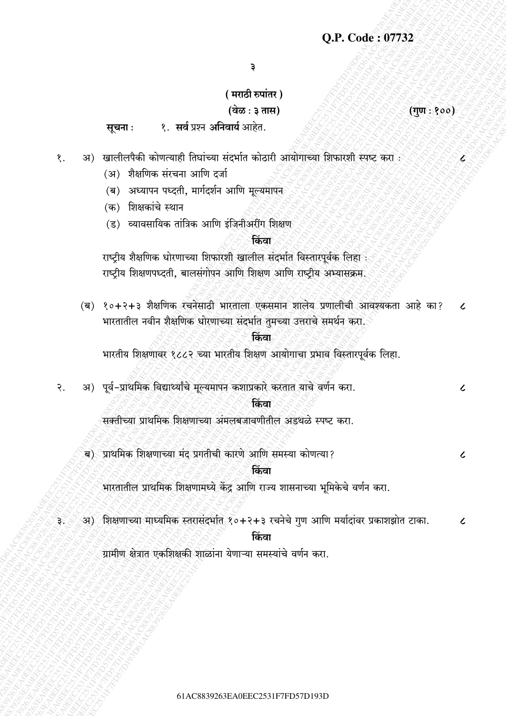३

# (मराठी रुपांतर)

# (वेळ : ३ तास)

१. सर्व प्रश्न अनिवार्य आहेत. सूचना:

अ) खालीलपैकी कोणत्याही तिघांच्या संदर्भात कोठारी आयोगाच्या शिफारशी स्पष्ट करा : १.

- (अ) शैक्षणिक संरचना आणि दर्जा
- (ब) अध्यापन पध्दती, मार्गदर्शन आणि मूल्यमापन
- (क) शिक्षकांचे स्थान

३.

(ड) व्यावसायिक तांत्रिक आणि इंजिनीअरींग शिक्षण

# किंवा

राष्ट्रीय शैक्षणिक धोरणाच्या शिफारशी खालील संदर्भात विस्तारपूर्वक लिहा : राष्ट्रीय शिक्षणपध्दती, बालसंगोपन आणि शिक्षण आणि राष्ट्रीय अभ्यासक्रम.

(ब) १०+२+३ शैक्षणिक रचनेसाठी भारताला एकसमान शालेय प्रणालीची आवश्यकता आहे का?  $\epsilon$ भारतातील नवीन शैक्षणिक धोरणाच्या संदर्भात तुमच्या उत्तराचे समर्थन करा.

#### किंवा

भारतीय शिक्षणावर १८८२ च्या भारतीय शिक्षण आयोगाचा प्रभाव विस्तारपूर्वक लिहा.

अ) पूर्व-प्राथमिक विद्यार्थ्यांचे मूल्यमापन कशाप्रकारे करतात याचे वर्णन करा.  $\overline{R}$ .

# किंवा

सक्तीच्या प्राथमिक शिक्षणाच्या अंमलबजावणीतील अडथळे स्पष्ट करा.

ब) प्राथमिक शिक्षणाच्या मंद प्रगतीची कारणे आणि समस्या कोणत्या?

#### किंवा

भारतातील प्राथमिक शिक्षणामध्ये केंद्र आणि राज्य शासनाच्या भूमिकेचे वर्णन करा.

अ) शिक्षणाच्या माध्यमिक स्तरासंदर्भात १०+२+३ रचनेचे गुण आणि मर्यादांवर प्रकाशझोत टाका.  $\epsilon$ 

किंवा

ग्रामीण क्षेत्रात एकशिक्षकी शाळांना येणाऱ्या समस्यांचे वर्णन करा.

 $(\overline{q}\overline{u}:\overline{\mathbf{y}}$ 00)

८

 $\overline{\mathcal{L}}$ 

 $\mathcal{L}$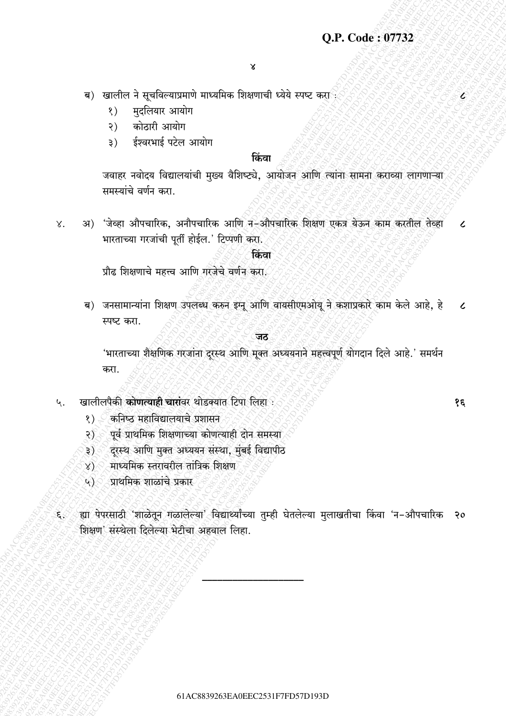- ब) खालील ने सूचविल्याप्रमाणे माध्यमिक शिक्षणाची ध्येये स्पष्ट करा
	- मुदलियार आयोग  $\langle \rangle$
	- कोठारी आयोग  $\mathcal{S}$ )
	- ईश्वरभाई पटेल आयोग  $\mathfrak{z})$

# किंवा

जवाहर नवोदय विद्यालयांची मुख्य वैशिष्ट्ये, आयोजन आणि त्यांना सामना कराव्या लागणाऱ्या समस्यांचे वर्णन करा.

अ) 'जेव्हा औपचारिक, अनौपचारिक आणि न–औपचारिक शिक्षण एकत्र येऊन काम करतील तेव्हा  $X.$  $\epsilon$ भारताच्या गरजांची पूर्ती होईल.' टिप्पणी करा.

# किंवा

प्रौढ शिक्षणाचे महत्त्व आणि गरजेचे वर्णन करा.

ब) जनसामान्यांना शिक्षण उपलब्ध करुन इग्नू आणि वायसीएमओयू ने कशाप्रकारे काम केले आहे, हे  $\epsilon$ स्पष्ट करा.

#### जठ

'भारताच्या शैक्षणिक गरजांना दूरस्थ आणि मूक्त अध्ययनाने महत्त्वपूर्ण योगदान दिले आहे.' समर्थन करा.

#### खालीलपैकी कोणत्याही चारांवर थोडक्यात टिपा लिहा : ५.

- $\langle \rangle$ कनिष्ठ महाविद्यालयाचे प्रशासन
- पूर्व प्राथमिक शिक्षणाच्या कोणत्याही दोन समस्या  $\mathcal{S}$
- दरस्थ आणि मुक्त अध्ययन संस्था, मुंबई विद्यापीठ ३ $)$ ं
- माध्यमिक स्तरावरील तांत्रिक शिक्षण 8) <
- प्राथमिक शाळांचे प्रकार  $\widehat{\mathfrak{K}}$
- ्ह्या पेपरसाठी 'शाळेतून गळालेल्या' विद्यार्थ्यांच्या तुम्ही घेतलेल्या मुलाखतीचा किंवा 'न–औपचारिक २० ₹, शिक्षण' संस्थेला दिलेल्या भेटीचा अहवाल लिहा.

१६

E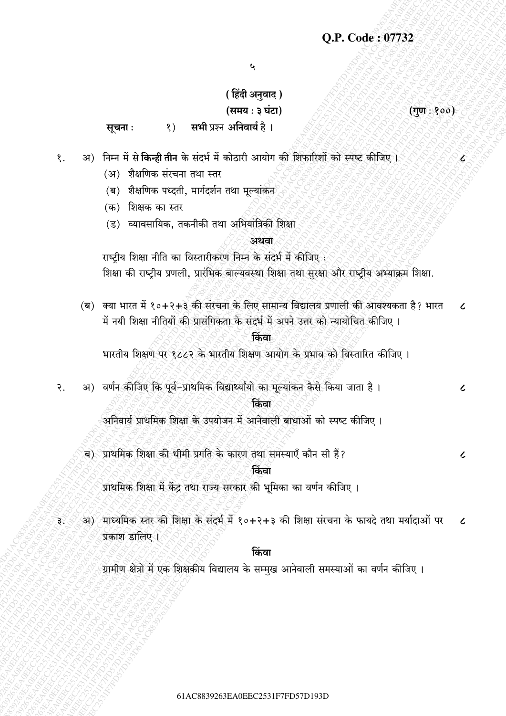$\mathbf{r}$ 

# (हिंदी अनुवाद) (समय: ३ घंटा)

 $($ गुण $: 300)$ 

 $\overline{\mathcal{L}}$ 

 $\overline{\mathcal{L}}$ 

 $\mathcal{L}$ 

सभी प्रश्न अनिवार्य है । सूचना:  $\langle \rangle$ 

- अ) निम्न में से किन्ही तीन के संदर्भ में कोठारी आयोग की शिफारिशों को स्पष्ट कीजिए। १.
	- (अ) शैक्षणिक संरचना तथा स्तर
	- (ब) शैक्षणिक पध्दती. मार्गदर्शन तथा मल्यांकेन
	- (क) शिक्षक का स्तर
	- (ड) व्यावसायिक, तकनीकी तथा अभियांत्रिकी शिक्षा

#### अथवा

राष्ट्रीय शिक्षा नीति का विस्तारीकरण निम्न के संदर्भ में कीजिए :

शिक्षा की राष्ट्रीय प्रणली, प्रारंभिक बाल्यवस्था शिक्षा तथा सुरक्षा और राष्ट्रीय अभ्याक्रम शिक्षा.

(ब) क्या भारत में १०+२+३ की संरचना के लिए सामान्य विद्यालय प्रणाली की आवश्यकता है? भारत  $\epsilon$ में नयी शिक्षा नीतियों की प्रासंगिकता के संदर्भ में अपने उत्तर को न्यायोचित कीजिए ।

# किंवा

भारतीय शिक्षण पर १८८२ के भारतीय शिक्षण आयोग के प्रभाव को विस्तारित कीजिए।

अ) वर्णन कीजिए कि पूर्व-प्राथमिक विद्यार्थ्यांयो का मूल्यांकन कैसे किया जाता है।  $\overline{R}$ .

#### किंवा

अनिवार्य प्राथमिक शिक्षा के उपयोजन में आनेवाली बाधाओं को स्पष्ट कीजिए।

ब) प्राथमिक शिक्षा की धीमी प्रगति के कारण तथा समस्याएँ कौन सी हैं?

किंवा

प्राथमिक शिक्षा में केंद्र तथा राज्य सरकार की भूमिका का वर्णन कीजिए ।

अ) माध्यमिक स्तर की शिक्षा के संदर्भ में १०+२+३ की शिक्षा संरचना के फायदे तथा मर्यादाओं पर  $\epsilon$ ३. प्रकाश डालिए ।

# क्रिंवा

ग्रामीण क्षेत्रो में एक शिक्षकीय विद्यालय के सम्मुख आनेवाली समस्याओं का वर्णन कीजिए ।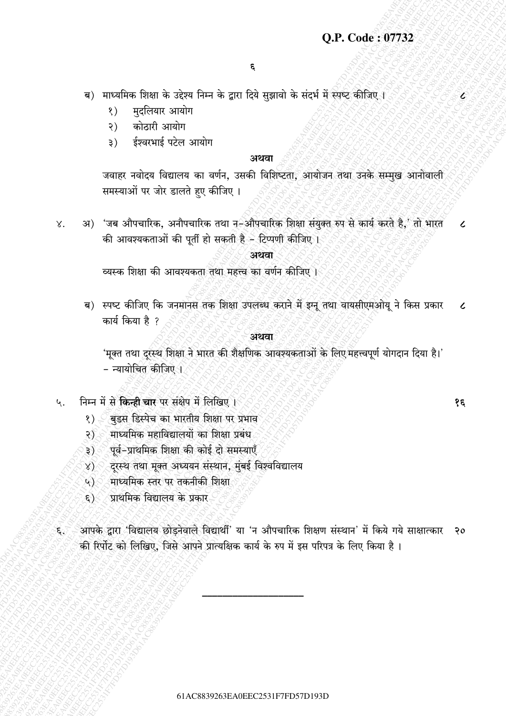# O.P. Code: 07732

E

१६

- ब) माध्यमिक शिक्षा के उद्देश्य निम्न के द्वारा दिये सुझावो के संदर्भ में स्पष्ट कीजिए ।
	- मुदलियार आयोग  $\langle \rangle$
	- कोठारी आयोग  $\mathcal{S}$ )
	- ईश्वरभाई पटेल आयोग  $\mathfrak{z})$

## अथवा

जवाहर नवोदय विद्यालय का वर्णन, उसकी विशिष्टता, आयोजन तथा उनके सम्मुख आनोवाली समस्याओं पर जोर डालते हुए कीजिए ।

अ) 'जब औपचारिक, अनौपचारिक तथा न-औपचारिक शिक्षा संयुक्त रुप से कार्य करते है,' तो भारत γ.  $\epsilon$ की आवश्यकताओं की पूर्ती हो सकती है - टिप्पणी कीजिए।

# अथवा

व्यस्क शिक्षा की आवश्यकता तथा महत्त्व का वर्णन कीजिए ।

ब) स्पष्ट कीजिए कि जनमानस तक शिक्षा उपलब्ध कराने में इग्नू तथा वायसीएमओयू ने किस प्रकार  $\epsilon$ कार्य किया है ?

#### अथवा

'मूक्त तथा दूरस्थ शिक्षा ने भारत की शैक्षणिक आवश्यकताओं के लिए महत्त्वपूर्ण योगदान दिया है।' - न्यायोचित कीजिए ।

- निम्न में से किन्ही चार पर संक्षेप में लिखिए। ५.
	- बुडस डिस्पेच का भारतीय शिक्षा पर प्रभाव  $\langle \rangle$
	- माध्यमिक महाविद्यालयों का शिक्षा प्रबंध  $\mathcal{S}$
	- पूर्व-प्राथमिक शिक्षा की कोई दो समस्याएँ ३ $)$ ं
	- दूरस्थ तथा मूक्त अध्ययन संस्थान, मुंबई विश्वविद्यालय `≴∑∕
	- माध्यमिक स्तर पर तकनीकी शिक्षा  $\mathbb{Q}$
	- प्राथमिक विद्यालय के प्रकार  $\epsilon$ )
- आपके द्वारा 'विद्यालय छोडनेवाले विद्यार्थी' या 'न औपचारिक शिक्षण संस्थान' में किये गये साक्षात्कार २० ક્રર की रिर्पोट को लिखिए, जिसे आपने प्रात्यक्षिक कार्य के रुप में इस परिपत्र के लिए किया है।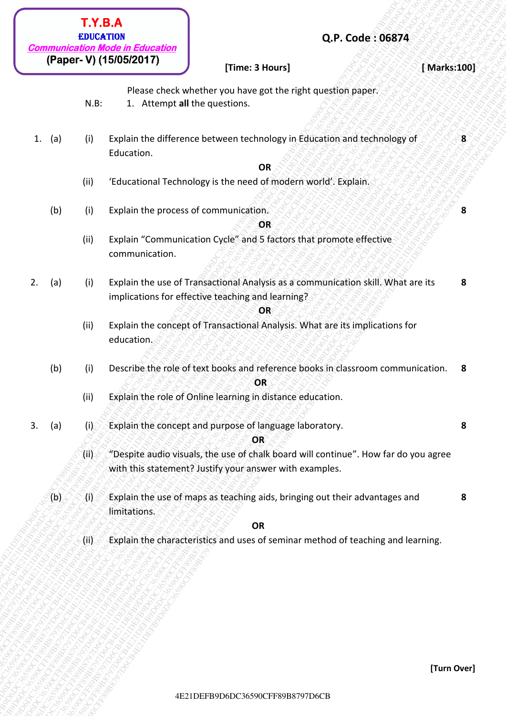| (Paper- V) (15/05/2017)<br>[Time: 3 Hours]<br>Please check whether you have got the right question paper.<br>$N.B$ :<br>1. Attempt all the questions.<br>Explain the difference between technology in Education and technology of<br>$\bf{8}$<br>1. (a)<br>(i)<br>Education.<br><b>OR</b><br>(ii)<br>'Educational Technology is the need of modern world'. Explain.<br>(b)<br>Explain the process of communication.<br>(i)<br>8<br>OR<br>Explain "Communication Cycle" and 5 factors that promote effective<br>(ii)<br>communication.<br>Explain the use of Transactional Analysis as a communication skill. What are its<br>8<br>(a)<br>(i)<br>implications for effective teaching and learning?<br>OR<br>Explain the concept of Transactional Analysis. What are its implications for<br>(ii)<br>education.<br>Describe the role of text books and reference books in classroom communication. 8<br>(b)<br>(i)<br>OR<br>(ii)<br>Explain the role of Online learning in distance education.<br>Explain the concept and purpose of language laboratory.<br>8<br>(a)<br>(i)<br>OR<br>"Despite audio visuals, the use of chalk board will continue". How far do you agree<br>$\langle 0 \rangle$<br>with this statement? Justify your answer with examples.<br>(b)<br>Explain the use of maps as teaching aids, bringing out their advantages and<br>8<br>M<br>limitations.<br>OR | <b>EDUCATION</b><br><b>Communication Mode in Education</b> |  | Q.P. Code: 06874 |             |  |
|---------------------------------------------------------------------------------------------------------------------------------------------------------------------------------------------------------------------------------------------------------------------------------------------------------------------------------------------------------------------------------------------------------------------------------------------------------------------------------------------------------------------------------------------------------------------------------------------------------------------------------------------------------------------------------------------------------------------------------------------------------------------------------------------------------------------------------------------------------------------------------------------------------------------------------------------------------------------------------------------------------------------------------------------------------------------------------------------------------------------------------------------------------------------------------------------------------------------------------------------------------------------------------------------------------------------------------------------------------------------------------|------------------------------------------------------------|--|------------------|-------------|--|
|                                                                                                                                                                                                                                                                                                                                                                                                                                                                                                                                                                                                                                                                                                                                                                                                                                                                                                                                                                                                                                                                                                                                                                                                                                                                                                                                                                                 |                                                            |  |                  | [Marks:100] |  |
|                                                                                                                                                                                                                                                                                                                                                                                                                                                                                                                                                                                                                                                                                                                                                                                                                                                                                                                                                                                                                                                                                                                                                                                                                                                                                                                                                                                 |                                                            |  |                  |             |  |
|                                                                                                                                                                                                                                                                                                                                                                                                                                                                                                                                                                                                                                                                                                                                                                                                                                                                                                                                                                                                                                                                                                                                                                                                                                                                                                                                                                                 |                                                            |  |                  |             |  |
|                                                                                                                                                                                                                                                                                                                                                                                                                                                                                                                                                                                                                                                                                                                                                                                                                                                                                                                                                                                                                                                                                                                                                                                                                                                                                                                                                                                 |                                                            |  |                  |             |  |
|                                                                                                                                                                                                                                                                                                                                                                                                                                                                                                                                                                                                                                                                                                                                                                                                                                                                                                                                                                                                                                                                                                                                                                                                                                                                                                                                                                                 |                                                            |  |                  |             |  |
|                                                                                                                                                                                                                                                                                                                                                                                                                                                                                                                                                                                                                                                                                                                                                                                                                                                                                                                                                                                                                                                                                                                                                                                                                                                                                                                                                                                 |                                                            |  |                  |             |  |
|                                                                                                                                                                                                                                                                                                                                                                                                                                                                                                                                                                                                                                                                                                                                                                                                                                                                                                                                                                                                                                                                                                                                                                                                                                                                                                                                                                                 | 2.                                                         |  |                  |             |  |
|                                                                                                                                                                                                                                                                                                                                                                                                                                                                                                                                                                                                                                                                                                                                                                                                                                                                                                                                                                                                                                                                                                                                                                                                                                                                                                                                                                                 |                                                            |  |                  |             |  |
|                                                                                                                                                                                                                                                                                                                                                                                                                                                                                                                                                                                                                                                                                                                                                                                                                                                                                                                                                                                                                                                                                                                                                                                                                                                                                                                                                                                 |                                                            |  |                  |             |  |
|                                                                                                                                                                                                                                                                                                                                                                                                                                                                                                                                                                                                                                                                                                                                                                                                                                                                                                                                                                                                                                                                                                                                                                                                                                                                                                                                                                                 |                                                            |  |                  |             |  |
|                                                                                                                                                                                                                                                                                                                                                                                                                                                                                                                                                                                                                                                                                                                                                                                                                                                                                                                                                                                                                                                                                                                                                                                                                                                                                                                                                                                 | 3.                                                         |  |                  |             |  |
|                                                                                                                                                                                                                                                                                                                                                                                                                                                                                                                                                                                                                                                                                                                                                                                                                                                                                                                                                                                                                                                                                                                                                                                                                                                                                                                                                                                 |                                                            |  |                  |             |  |
|                                                                                                                                                                                                                                                                                                                                                                                                                                                                                                                                                                                                                                                                                                                                                                                                                                                                                                                                                                                                                                                                                                                                                                                                                                                                                                                                                                                 |                                                            |  |                  |             |  |
| Explain the characteristics and uses of seminar method of teaching and learning.<br>$\langle$ iif $\rangle$                                                                                                                                                                                                                                                                                                                                                                                                                                                                                                                                                                                                                                                                                                                                                                                                                                                                                                                                                                                                                                                                                                                                                                                                                                                                     |                                                            |  |                  |             |  |
|                                                                                                                                                                                                                                                                                                                                                                                                                                                                                                                                                                                                                                                                                                                                                                                                                                                                                                                                                                                                                                                                                                                                                                                                                                                                                                                                                                                 |                                                            |  |                  |             |  |
|                                                                                                                                                                                                                                                                                                                                                                                                                                                                                                                                                                                                                                                                                                                                                                                                                                                                                                                                                                                                                                                                                                                                                                                                                                                                                                                                                                                 |                                                            |  |                  |             |  |
|                                                                                                                                                                                                                                                                                                                                                                                                                                                                                                                                                                                                                                                                                                                                                                                                                                                                                                                                                                                                                                                                                                                                                                                                                                                                                                                                                                                 |                                                            |  |                  |             |  |
|                                                                                                                                                                                                                                                                                                                                                                                                                                                                                                                                                                                                                                                                                                                                                                                                                                                                                                                                                                                                                                                                                                                                                                                                                                                                                                                                                                                 |                                                            |  |                  | [Turn Over] |  |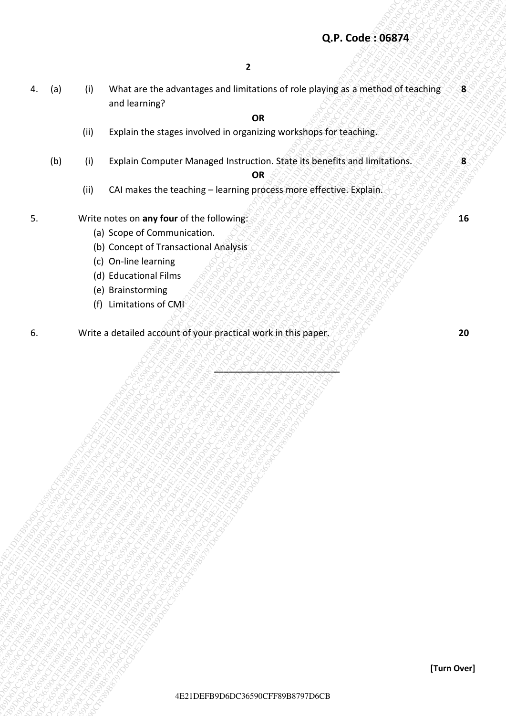# **Q.P. Code : 06874**

4DE 2019<br>
4DE 2006 CHER PROFESSION COMPUTER MANUSCRIPS OF THE CHER PROFESSION CONTINUES TO CONSUMER TRANSPARENT OF THE CHER PROFESSION CONTINUES (2)<br>
2019 - Explain Computer Manuscript Instruction, Sales as benefits and in 4E21 DB<br>
4CP-Code : 066794<br>
4CP-Code : 066794<br>
4CP-Code : 066794<br>
4CP-Code : 066794<br>
4CP-Code : 066794<br>
4CP-Code : 066794<br>
4CP-Code : 066794<br>
4CP-Code : 066794<br>
4CP-Comparations describes the contribute of the metal state 4E21 DR - Visit are the advantages and imatations of rose playing as a microid of telechine<br>
and telecoming?<br>
(II) Explain the stages involved in organizations conditions for telecoming<br>
(U) CE (The dial most be a maximize Q.P.Code: 06874<br>
4. (a) 0) what are the advantages and installance of not known of the physics as a method of fractions<br>
2010 Coolan Coronate Manages Installance. State is been filterated installance.<br>
2010 Coolan Coronate 4E21DEFB9D6DC3690CFF89B8791DEFB9D6DC36590CFF89B8791D6DC36590CFF89B8797D6DC36590CFF89B8797D6DC36590CFF89B8797D6DC36590CFF89B8797D6DC36590CFF89B8797D6DC36590CFF89B8797D6DC36590CFF89B8797D6DC36590CFF89B8797D6DC36590CFF89B8797 Q.P. Code: 96874<br>
4. Iol. 3) What events and and animation and finding contact riverside particles are are distributed by the matrix of the street of the street of the street of the street of the street of the street of th 4. (a) 11 What are the advantages and limitation of role possibly is a method of the charge of the company model of the charge of the charge of the charge of the charge of the charge of the charge of the charge of the char 4. (a) 11 What are the advantages and limitation of role possibly is a method of the charge of the company model of the charge of the charge of the charge of the charge of the charge of the charge of the charge of the char 4. (a) 11 What are the advantages and limitation of role possibly is a method of the charge of the company model of the charge of the charge of the charge of the charge of the charge of the charge of the charge of the char 4. (a) 11 What are the advantages and limitation of role possibly is a method of the charge of the company model of the charge of the charge of the charge of the charge of the charge of the charge of the charge of the char 4. (a) 11 What are the advantages and limitation of role possibly is a method of the charge of the company model of the charge of the charge of the charge of the charge of the charge of the charge of the charge of the char 4. (a) 11 What are the advantages and limitation of role possibly is a method of the charge of the company model of the charge of the charge of the charge of the charge of the charge of the charge of the charge of the char 4. (a) CR - While are the educations are editinated to observe the species of the species of the species of the species of the species of the species of the species of the species of the species of the species of the speci Q.P. Code: 96874<br>
4E21D6DC36790CFF89D6DC3670CFF89D6DC36590CFF89D6DC36590CF<br>
2DEFB9D6DC36590CFF89B8797D6DC36590CFF89B8797D6DC36590CFF89B8797D6DC36590CFF89B8797D6DC36590CFF89B8797D6DC36590CF<br>
2DEFB9D6DC36590CFF8D6DC36590CFF8 Q.P. Code: 06874<br>
4. (a) (6) Wistins the adventures and finitestimes of properties payables in restriction of the adventures of the companies where the angeles in restriction of the companies where the angeles the companie Q.P. Code: 06874<br>
4. List | 02 Which are the advantages and finitations of role praying as simultod of earthing<br>
101 | Explain Cornate Manages Instructions | OSB<br>
103 | Explain Cornate Manages Instructions | OSB B5 assette 4. (a) III What are the extransitions and timestic on other to the principal are are the control of the control of the control of the control of the control of the control of the control of the control of the control of th 4E2<br>
4E21 D6 P1 White are the advantages and limitations of role planning as method of teaching<br>
59 Depths the stages involved in usgariang conclusion for using the conclusions<br>
(b) The advantage of branching concerns proc 4. (a) (b) What are the adventages and limitations of role playing as a method of teaching<br>
and learning?<br>
(ii) Prabin the stages involved in organiza conclusions for residual infrastrans.<br>
(ii) S. Correlations the teachin Q.P.Code: 06674<br>
4E21DEFB9D6DC367920CFF800CFF89D6DC36590CFF898787D6DC36590CFF89B8797D6DC36590CFF89B87920CFF89B8797D6DC36590CFF89B879D6DC36590CFF89B879D6DC36590CFF89B879D6DC36590CFF89B8792D6DC36590CFF89B879D6DC36590CFF89B87 4. (a) (i) What are the advantages and limitations of role playing as a method of teaching and learning? **8** 

## *OR* OR

- (ii) Explain the stages involved in organizing workshops for teaching.
- (b) (i) Explain Computer Managed Instruction. State its benefits and limitations. **8**

 *OR* OR

**\_\_\_\_\_\_\_\_\_\_\_\_\_\_\_\_\_\_\_\_\_\_\_\_\_\_\_** 

- (ii) CAI makes the teaching learning process more effective. Explain.
- **5.** Write notes on any four of the following:  $\frac{1}{2}$  MAN SAN SAN SAN SAN SAN 16
	- (a) Scope of Communication.
	- (b) Concept of Transactional Analysis
	- (c) On-line learning
	- (d) Educational Films
	- (e) Brainstorming
	- (f) Limitations of CMI
- 6. Write a detailed account of your practical work in this paper. **20**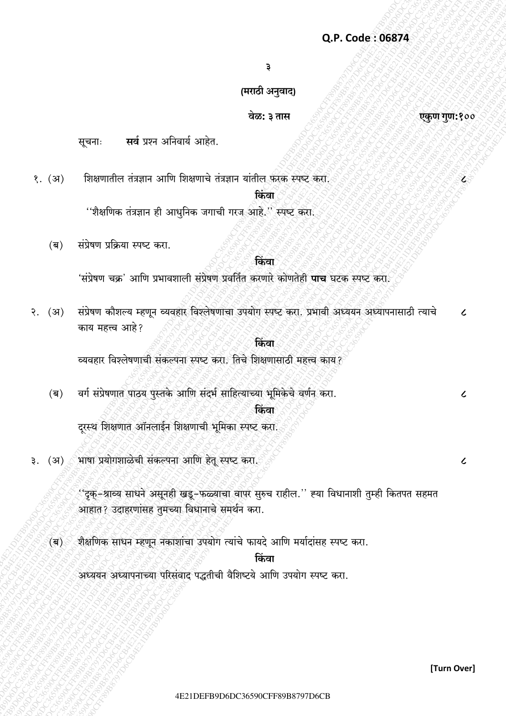३

# (मराठी अनुवाद)

# वेळ: ३ तास

सर्व प्रश्न अनिवार्य आहेत. सूचनाः

शिक्षणातील तंत्रज्ञान आणि शिक्षणाचे तंत्रज्ञान यांतील फरके स्पष्टे करा.  $\langle$ . (37)

#### किंवा

''शैक्षणिक तंत्रज्ञान ही आधुनिक जगाची गरज आहे.'' स्पष्ट करा.

संप्रेषण प्रक्रिया स्पष्ट करा.  $(\overline{q})$ 

# किंवा

'संप्रेषण चक्र' आणि प्रभावशाली संप्रेषण प्रवर्तित करणारे कोणतेही **पाच** घटक स्पष्ट करा.

संप्रेषण कौशल्य म्हणून व्यवहार विश्लेषणाचा उपयोग स्पष्ट करा. प्रभावी अध्ययन अध्यापनासाठी त्याचे  $\sqrt{3}$ .  $(31)$  $\overline{\mathcal{L}}$ काय महत्त्व आहे?

# किंवा

व्यवहार विश्लेषणाची संकल्पना स्पष्ट करा. तिचे शिक्षणासाठी महत्त्व काय?

वर्ग संप्रेषणात पाठय पुस्तके आणि संदर्भ साहित्याच्या भूमिकेचे वर्णन करा.  $(\overline{q})$ 

# किंवा

दरस्थ शिक्षणात ऑनलाईन शिक्षणाची भूमिका स्पष्ट करा.

३.  $(3)$ भाषा प्रयोगशाळेची संकल्पना आणि हेतू स्पष्ट करा.

> ''दृक्-श्राव्य साधने असूनही खडू-फळ्याचा वापर सुरुच राहील.'' ह्या विधानाशी तुम्ही कितपत सहमत आहात? उदाहरणांसह तुमच्या विधानाचे समर्थन करा.

शैक्षणिक साधन म्हणून नकाशांचा उपयोग त्यांचे फायदे आणि मर्यादांसह स्पष्ट करा.  $\overline{\mathsf{q}}$ 

# किंवा

अध्ययन अध्यापनाच्या परिसंवाद पद्धतीची वैशिष्टये आणि उपयोग स्पष्ट करा.

एकुण गुण:१००

 $\mathbf{z}^{\scriptscriptstyle \diamond}_\circ$ 

 $\epsilon$ 

 $\overline{\mathcal{L}}$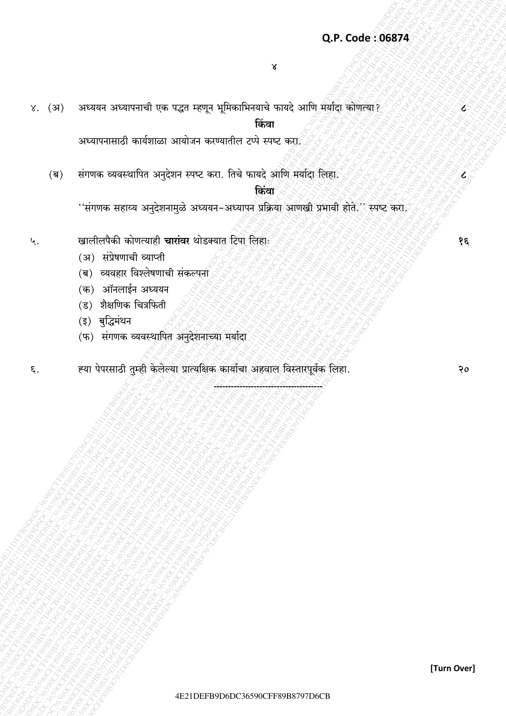# Q.P. Code: 06874

४. (अ) अध्ययन अध्यापनाची एक पद्धत म्हणून भूमिकाभिनयाचे फायदे आणि मर्यादा कोणत्या?

किंवा

अध्यापनासाठी कार्यशाळा आयोजन करण्यातील टप्पे स्पष्ट करा

संगणक व्यवस्थापित अनुदेशन स्पष्ट करा. तिचे फायदे आणि मर्यादा लिहा.  $(\overline{q})$ 

#### किंवा

''संगणक सहाय्य अनुदेशनामुळे अध्ययन-अध्यापुन प्रक्रिया आणखी प्रभावी होते.'' स्पष्ट करा.

- खालीलपैकी कोणत्याही **चारांवर** थोडक्यात टिपा लिहाः ५.
	- (अ) संप्रेषणाची व्याप्ती
	- (ब) व्यवहार विश्लेषणाची संकल्पना
	- (क) ऑनलाईन अध्ययन
	- (ड) शैक्षणिक चित्रफिती
	- (इ) बुद्धिमंथन
	- (फ) संगणक व्यवस्थापित अनुदेशनाच्या मर्यादा
- ह्या पेपरसाठी तुम्ही केलेल्या प्रात्यक्षिक कार्याचा अहवाल विस्तारपूर्वक लिहा.  $\epsilon$ .

 $\epsilon$ 

 $\overline{\mathcal{L}}$ 

 $\mathcal{S}\mathcal{E}$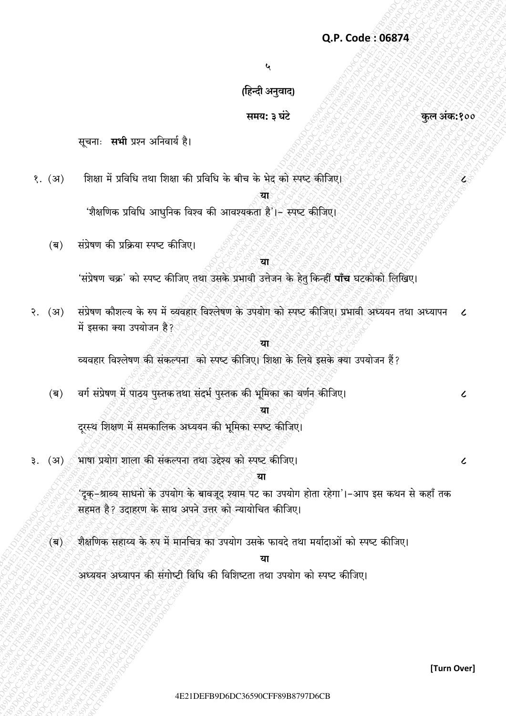$\mathbf{c}$ 

(हिन्दी अनुवाद)

# समय: ३ घंटे

सूचनाः सभी प्रश्न अनिवार्य है।

शिक्षा में प्रविधि तथा शिक्षा की प्रविधि के बीच के भेद को स्पष्ट कीजिए।  $\langle$ . (37)

या

'शैक्षणिक प्रविधि आधनिक विश्व की आवश्यकता है'।- स्पष्ट कीजिए।

संप्रेषण की प्रक्रिया स्पष्ट कीजिए।  $(\overline{q})$ 

#### या

'संप्रेषण चक्र' को स्पष्ट कीजिए तथा उसके प्रभावी उत्तेजन के हेत् किन्हीं **पाँच** घटकोको लिखिए।

- संप्रेषण कौशल्य के रुप में व्यवहार विश्लेषण के उपयोग को स्पष्ट कीजिए। प्रभावी अध्ययन तथा अध्यापन  $\sqrt{3}$ .  $(31)$  $\epsilon$ में इसका क्या उपयोजन है?
	- या व्यवहार विश्लेषण की संकल्पना को स्पष्ट कीजिए। शिक्षा के लिये इसके क्या उपयोजन हैं?
	- वर्ग संप्रेषण में पाठय पुस्तक तथा संदर्भ पुस्तक की भूमिका का वर्णन कीजिए।  $(\overline{q})$

दरस्थ शिक्षण में समकालिक अध्ययन की भूमिका स्पष्ट कीजिए।

भाषा प्रयोग शाला की संकल्पना तथा उद्देश्य को स्पष्ट कीजिए। (अ) ₹.

> 'दुक-श्राव्य साधनो के उपयोग के बावजूद श्याम पट का उपयोग होता रहेगा'।-आप इस कथन से कहाँ तक सहमत है? उदाहरण के साथ अपने उत्तर को न्यायोचित कीजिए।

था

शैक्षणिक सहाय्य के रुप में मानचित्र का उपयोग उसके फायदे तथा मर्यादाओं को स्पष्ट कीजिए।  $\left( \overline{\mathsf{q}} \right)$ 

अध्ययन अध्यापन की संगोष्टी विधि की विशिष्टता तथा उपयोग को स्पष्ट कीजिए।

कल अंक:१००

 $\mathbf{z}^{\scriptscriptstyle\mathrm{c}}$ 

 $\epsilon$ 

 $\overline{\mathcal{L}}$ 

[Turn Over]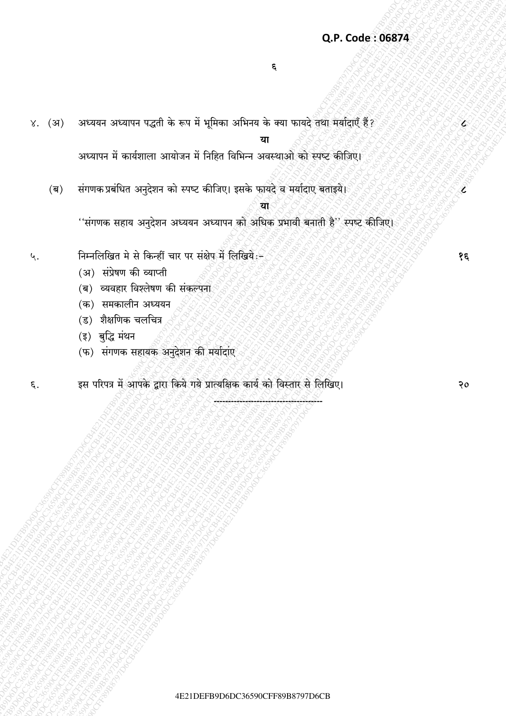# Q.P. Code: 06874

४. (अ) अध्ययन अध्यापन पद्धती के रूप में भूमिका अभिनय के क्या फायदे तथा मर्यादाएँ हैं?

या

अध्यापन में कार्यशाला आयोजन में निहित विभिन्न अवस्थाओं को स्पष्ट कीजिए।

संगणक प्रबंधित अनुदेशन को स्पष्ट कीजिए। इसके फायदे व मर्यादाए बताइये।  $(\overline{\mathsf{a}})$ 

''संगणक सहाय अनुदेशन अध्ययन अध्यापन को अधिक प्रभावी बनाती है'' स्पष्ट कीजिए।

- निम्नलिखित मे से किन्हीं चार पर संक्षेप में लिखिये:-५.
	- (अ) संप्रेषण की व्याप्ती
	- (ब) व्यवहार विश्लेषण की संकल्पना
	- (क) समकालीन अध्ययन
	- (ड) शैक्षणिक चलचित्र
	- (इ) बुद्धि मंथन
	- (फ) संगणक सहायक अनुदेशन की मर्यादाए
- इस परिपत्र में आपके द्वारा किये गये प्रात्यक्षिक कार्य को विस्तार से लिखिए। ξ.

१६

É

Ĕ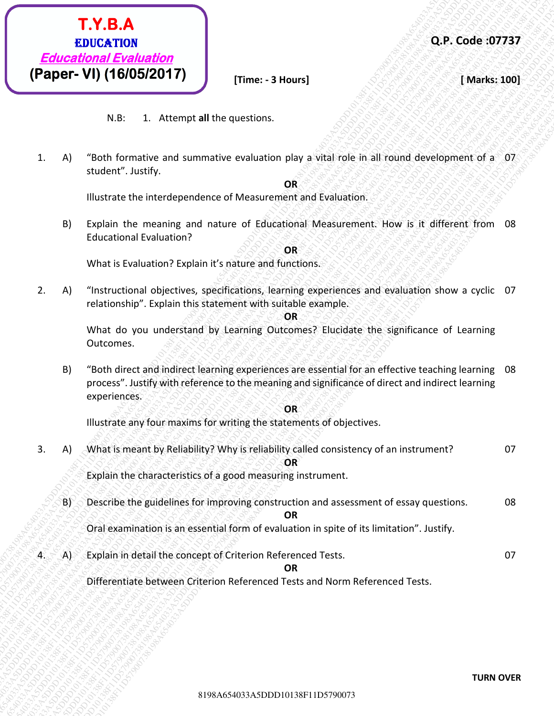

**Q.P. Code :07737**

**Time: - 3 Hours]** *SARRE**[Marks:* **100]** 

N.B: 1. Attempt **all** the questions.

1. A) "Both formative and summative evaluation play a vital role in all round development of a 07 student". Justify.

**OR**

Illustrate the interdependence of Measurement and Evaluation.

B) Explain the meaning and nature of Educational Measurement. How is it different from 08 Educational Evaluation?

**OR**

What is Evaluation? Explain it's nature and functions.

2. A) "Instructional objectives, specifications, learning experiences and evaluation show a cyclic 07 relationship". Explain this statement with suitable example.

**OR**

What do you understand by Learning Outcomes? Elucidate the significance of Learning Outcomes.

B) "Both direct and indirect learning experiences are essential for an effective teaching learning 08 process". Justify with reference to the meaning and significance of direct and indirect learning experiences.

**OR**

Illustrate any four maxims for writing the statements of objectives.

- 81980**4203**<br> **Educational Evaluation**<br>
W.R. 1. Attempt all the questions.<br>
4) "Tendi furnisment was summarize resolution play a shall role as all mund development of a 107<br>
Statistical metals and narrow of nature of Bolazi 819824613038F11D57900738198A65403<br>
8198A65403198A65403<br>
818-1011101138782819<br>
818-101110113878-and summative evaluation slav avial role in all round development of a 07<br>
10101167013828147<br>
11D601212-1138F1<sub>2</sub><br>
11D60112112-1. **Educational Evaluation**<br> **Educational Evaluation**<br> **Educational Evaluation**<br> **Example 1991 (190552017)**<br> **Example 11** Alternation distance realization distance in the substitution distance in the substitution of a sub **Existence of the Control Control Control Control Control Control Control Control Control Control Control Control Control Control Control Control Control Control Control Control Control Control Control Control Control Con EXTRA EXTRA F11D6138F12013**<br> **EXECUTED CONTENT CONTENT CONTENT CONTENT CONTENT CONTENT CONTENT CONTENT CONTENT CONTENT CONTENT CONTENT CONTENT CONTENT CONTENT CONTENT CONTENT CONTENT CONTENT CONTENT CONTENT CONTENT CONTE EXT.B.A Strained Exchange (ADS)**<br> **Educations (Paper-VI) (16/05/2017)** [Time: -3 Hours]<br> **(Paper-VI) (16/05/2017)** [Time: -3 Hours]<br>
N.E. \* Afternation and summative realization play a schedule in all round development o **Extra Character Construction**<br> **Extractional Evaluation**<br> **(Pagner-VI) (161058/2017)**<br>
W.W. 1. Amongs all the questions.<br>
1. A1 "Bosh larmonic and accumulate evaluation play avial vote in a could development of a Charact **Extractional Strange Control 3198** (**Paper - VI) (18/05/2017)** Times - 3 Novin) (Navis, 200) (Navis, 200) (Navis, 200) (18/05/2017) (Times - 3 Novin) (Navis, 200) (Navis, 200) (Navis, 200) (Navis, 200) (Navis and the ques **Extractional Strange Control 3198** (**Paper - VI) (18/05/2017)** Times - 3 Novin) (Navis, 200) (Navis, 200) (Navis, 200) (18/05/2017) (Times - 3 Novin) (Navis, 200) (Navis, 200) (Navis, 200) (Navis, 200) (Navis and the ques **Extractional Strange Control 3198** (**Paper - VI) (18/05/2017)** Times - 3 Novin) (Navis, 200) (Navis, 200) (Navis, 200) (18/05/2017) (Times - 3 Novin) (Navis, 200) (Navis, 200) (Navis, 200) (Navis, 200) (Navis and the ques **Extractional Strange Control 3198** (**Paper - VI) (18/05/2017)** Times - 3 Novin) (Navis, 200) (Navis, 200) (Navis, 200) (18/05/2017) (Times - 3 Novin) (Navis, 200) (Navis, 200) (Navis, 200) (Navis, 200) (Navis and the ques **Extractional Strange Control 3198A65403**<br> **Extractional Evaluation**<br> **CPRE-VD) (18005/2017)** Times - 3 Nours)<br>
1. A) "with the substitute and summative containing play a vial refe in all monet development of s-37<br>
interme **Example 13.42**<br> **Educational Evaluation**<br>
(**Paper-VI) (16005/2017)**<br>
11.8: 1. Altonst all the questions<br>
1.8: 1. Altonst and the member conduction play a visit refer is all resume discretizes and<br>
1.8: 1. Altonst and con **Educations Exhibition**<br> **Educations Excellential Towards and The Control of the Control of the Control of the Control of the Control of the Control of the Control of the Control of the Control of the Control of the Contro Educational Environmental Constrainers** 3 **Code: 37737**<br> **Educational Evaluational Constrainers** and several Theoretical Theoretical Theoretical Theoretical Theoretical Theoretical Constrainers and including the secondary **Extractional Strange Control 3198** (**PADE-1)**<br> **Extractional Evaluation**<br>
1. Al "sem formative and summarize evaluation and Toolical est all round development of a 17<br>
1. Al "sem formative and summarize evaluation and Too **Educational Evoluation**<br> **Educational Evoluation**<br> **Rapper - VII) (16/05/2017)**<br>
N.O. 1. Attempt at the questions.<br>
1. A) "both the rank-value and summative evoluation play a vital right in all round development of a 67<br> **Extra CONSULTER CONSULTER CONSULTER CONSULTER CONSULTER CONSULTER CONSULTER CONSULTER CONSULTER CONSULTER CONSULTER CONSULTER CONSULTER CONSULTER CONSULTER CONSULTER CONSULTER CONSULTER CONSULTER CONSULTER CONSULTER CONSU Educational Strangham Strangham Strangham Strangham Strangham Strangham Strangham Strangham Strangham Strangham Strangham Strangham Strangham Strangham Strangham Strangham Strangham Strangham Strangham Strangham Strangham Educational Strange Control 3**<br> **Educational Evaluation**<br> **RECORE TO ASSECT THE CONSULTER (SECTION CONSULTER)**<br>
1. A) "Youth formative and summative evaluation play a vital role in all round development of a student-"Lus 3. A) What is meant by Reliability? Why is reliability called consistency of an instrument? 07 **OR** Explain the characteristics of a good measuring instrument.
	- B) Describe the guidelines for improving construction and assessment of essay questions. 08 **OR**

Oral examination is an essential form of evaluation in spite of its limitation". Justify.

4. A) Explain in detail the concept of Criterion Referenced Tests. 07

**OR**

Differentiate between Criterion Referenced Tests and Norm Referenced Tests.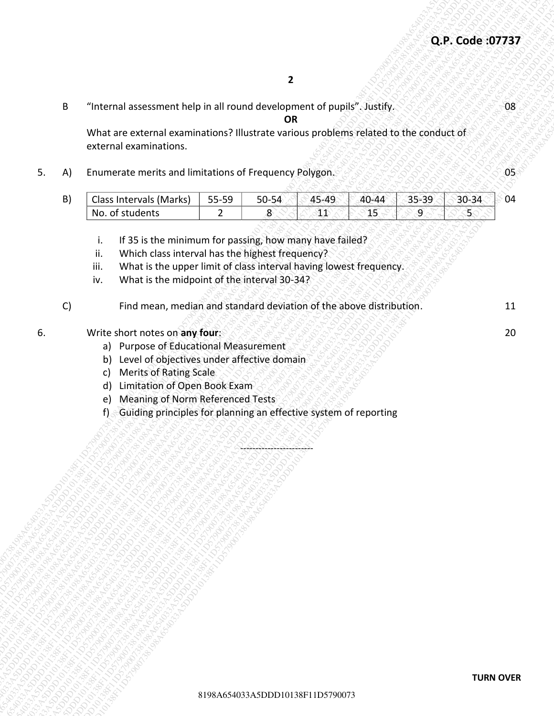|    |                                                                                                                                                                                                                                                                                                                               | Q.P. Code: 07737          |    |
|----|-------------------------------------------------------------------------------------------------------------------------------------------------------------------------------------------------------------------------------------------------------------------------------------------------------------------------------|---------------------------|----|
|    | $\overline{2}$                                                                                                                                                                                                                                                                                                                |                           |    |
| B  | "Internal assessment help in all round development of pupils". Justify.<br><b>OR</b>                                                                                                                                                                                                                                          |                           | 08 |
|    | What are external examinations? Illustrate various problems related to the conduct of<br>external examinations.                                                                                                                                                                                                               |                           |    |
| A) | Enumerate merits and limitations of Frequency Polygon.                                                                                                                                                                                                                                                                        |                           | 05 |
| B) | Class Intervals (Marks)<br>45-49<br>$40 - 44$<br>$35 - 39$<br>55-59<br>$50 - 54$<br>No. of students<br>$8^{\circ}$<br>$41\,$<br>15<br>$\overline{2}$<br>9                                                                                                                                                                     | $30 - 34$<br>$\mathbf{E}$ | 04 |
| C) | Which class interval has the highest frequency?<br>ii.<br>What is the upper limit of class interval having lowest frequency.<br>iii.<br>What is the midpoint of the interval 30-34?<br>iv.<br>Find mean, median and standard deviation of the above distribution.                                                             |                           | 11 |
|    | Write short notes on any four:<br>a) Purpose of Educational Measurement<br>Level of objectives under affective domain<br>b)<br><b>Merits of Rating Scale</b><br>c)<br>Limitation of Open Book Exam<br>d)<br><b>Meaning of Norm Referenced Tests</b><br>e)<br>Guiding principles for planning an effective system of reporting |                           | 20 |
|    | 8198A654033A5DDD10138F11D5790073                                                                                                                                                                                                                                                                                              | <b>TURN OVER</b>          |    |

- i. If 35 is the minimum for passing, how many have failed?
- ii. Which class interval has the highest frequency?
- iii. What is the upper limit of class interval having lowest frequency.
- iv. What is the midpoint of the interval 30-34?
- C) Find mean, median and standard deviation of the above distribution. The manner of 11

#### **6.** Write short notes on any four: 20 and 20 and 20 and 20 and 20 and 20 and 20 and 20 and 20 and 20 and 20 and 20

- a) Purpose of Educational Measurement
- b) Level of objectives under affective domain
- c) Merits of Rating Scale
- d) Limitation of Open Book Exam
- e) Meaning of Norm Referenced Tests
- f) Guiding principles for planning an effective system of reporting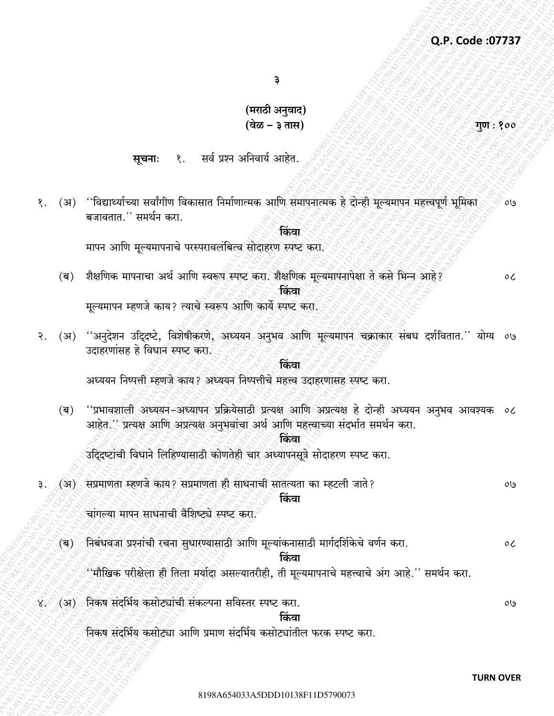गुण : १००

३

(मराठी अनुवाद) (वेळ – ३ तास)

१. सर्व प्रश्न अनिवार्य आहेत. सूचनाः

(अ) ''विद्यार्थ्याच्या सर्वांगीण विकासात निर्माणात्मक आणि समापनात्मक हे दोन्ही मूल्यमापन महत्त्वपूर्ण भूमिका १.  $09$ बजावतात.'' समर्थन करा.

किंवा

मापन आणि मूल्यमापनाचे परस्परावलंबित्व सोदाहरण स्पष्ट करा.

(ब) शैक्षणिक मापनाचा अर्थ आणि स्वरूप स्पष्ट करा. शैक्षणिक मूल्यमापनापेक्षा ते कसे भिन्न आहे?  $\circ c$ किंवा

मूल्यमापन म्हणजे काय? त्याचे स्वरूप आणि कार्ये स्पष्ट करा.

وں) ''अनुदेशन उदिदृष्टे, विशेषीकरणे, अध्ययन अनुभव आणि मूल्यमापन चक्राकार संबध दर्शवितात.'' योग्य ०७  $\mathcal{S}$ . उदाहरणांसह हे विधान स्पष्ट करा.

अध्ययन निष्पत्ती म्हणजे काय? अध्ययन निष्पत्तीचे महत्त्व उदाहरणासह स्पष्ट करा.

''प्रभावशाली अध्ययन-अध्यापन प्रक्रियेसाठी प्रत्यक्ष आणि अप्रत्यक्ष हे दोन्ही अध्ययन अनुभव आवश्यक ०८  $(\overline{\mathsf{q}})$ आहेत.'' प्रत्यक्ष आणि अप्रत्यक्ष अनुभवांचा अर्थ आणि महत्त्वाच्या संदर्भात समर्थन करा.

किंवा

किंवा

उदिदष्टांची विधाने लिहिण्यासाठी कोणतेही चार अध्यापनसूत्रे सोदाहरण स्पष्ट करा.

(अ) सप्रमाणता म्हणजे काय? सप्रमाणता ही साधनाची सातत्यता का म्हटली जाते? किंवा

चांगल्या मापन साधनाची वैशिष्ट्ये स्पष्ट करा

- (ब) ेनिबंधवजा प्रश्नांची रचना सुधारण्यासाठी आणि मूल्यांकनासाठी मार्गदर्शिकेचे वर्णन करा.  $\mathfrak{o}$ किंवा ''मौखिक परीक्षेला ही तिला मर्यादा असल्यातरीही, ती मूल्यमापनाचे महत्त्वाचे अंग आहे.'' समर्थन करा.
- ४. (अ) निकष संदर्भिय कसोट्यांची संकल्पना सविस्तर स्पष्ट करा.

 $0<sup>0</sup>$ 

 $0<sup>0</sup>$ 

किंवा

निकेष संदर्भिय कसोट्या आणि प्रमाण संदर्भिय कसोट्यांतील फरक स्पष्ट करा.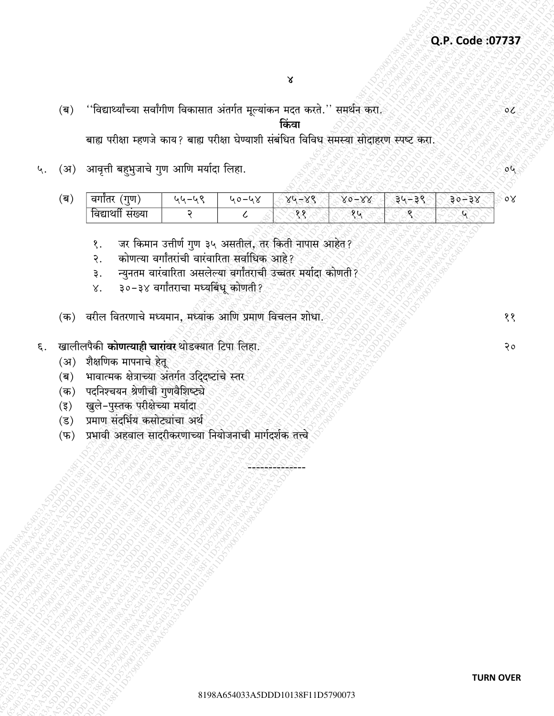''विद्यार्थ्यांच्या सर्वांगीण विकासात अंतर्गत मूल्यांकन मदत करते.'' समर्थन करा.  $(\overline{\mathbb{Q}})$ किंवा

बाह्य परीक्षा म्हणजे काय? बाह्य परीक्षा घेण्याशी संबंधित विविध समस्या सोदाहरण स्पष्ट करा.

(अ) आवृत्ती बहुभुजाचे गुण आणि मर्यादा लिहा. ५.

| ( ਕ | गण<br>$\mathcal{A}$ in the set | ف — ف ف | . J | $\vee$<br>$V_0 -$<br>ັ<br>౿ | $\sqrt{2}$<br>$V_0 -$ | -510- | $\overline{\phantom{a}}$ | ०४ |
|-----|--------------------------------|---------|-----|-----------------------------|-----------------------|-------|--------------------------|----|
|     | ावद्य<br>મ≀વ્યા                |         |     | $\circ$ $\circ$             | $\alpha$              |       |                          |    |

- जर किमान उत्तीर्ण गुण ३५ असतील, तर किती नापास आहेत? १.
- कोणत्या वर्गांतरांची वारंवारिता सर्वाधिक आहे? २.
- न्यूनतम वारंवारिता असलेल्या बर्गांतराची उच्चतर मर्यादा कोणती? ३.
- ३०-३४ वर्गांतराचा मध्यबिंधू कोणती ?  $X_{\cdot}$
- (क) वरील वितरणाचे मध्यमान, मध्यांक आणि प्रमाण विचलन शोधा.
- खालीलपैकी कोणत्याही चारांवर थोडक्यात टिपा लिहा.  $\xi$ .
	- (अ) शैक्षणिक मापनाचे हेतू
	- भावात्मक क्षेत्राच्या अंतर्गत उदिदष्टांचे स्तर (ब)
	- (क) पदनिश्चयन श्रेणीची गुणवैशिष्ट्ये
	- (इ) खुले-पुस्तक परीक्षेच्या मर्यादा
	- प्रमाण संदर्भिय कसोट्यांचा अर्थ  $(\overline{s})$
	- प्रभावी अहवाल सादरीकरणाच्या नियोजनाची मार्गदर्शक तत्त्वे  $(\overline{\Psi})$

 $04$ 

 $\circ c$ 

११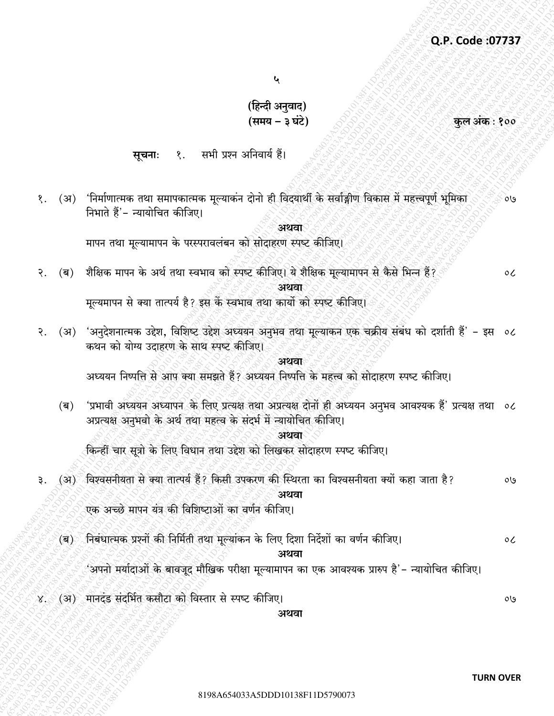$\mathbf{\mathbf{y}}$ 

(हिन्दी अनुवाद) (समय – ३ घंटे)

सभी प्रश्न अनिवार्य हैं।  $\mathcal{S}$ . सचनाः

(अ) 'निर्माणात्मक तथा समापकात्मक मूल्याकंन दोनो ही विदयार्थी के सर्वाङ्गीण विकास में महत्त्वपूर्ण भूमिका १. ০७ निभाते हैं'- न्यायोचित कीजिए।

अथवा

मापन तथा मूल्यामापन के परस्परावलंबन को सोदाहरण स्पष्ट कीजिए।

(ब) शैक्षिक मापन के अर्थ तथा स्वभाव को स्पष्ट कीजिए। ये शैक्षिक मूल्यामापन से कैसे भिन्न हैं? २.

अथवा

मूल्यमापन से क्या तात्पर्य है? इस के स्वभाव तथा कार्यो को स्पष्ट कीजिए।

(अ) 'अनुदेशनात्मक उद्देश, विशिष्ट उद्देश अध्ययन अनुभव तथा मूल्याकन एक चक्रीय संबंध को दर्शाती हैं' – इस ०८ २. कथन को योग्य उदाहरण के साथ स्पष्ट कीजिए।

अशता

अध्ययन निष्पत्ति से आप क्या समझते हैं? अध्ययन निष्पत्ति के महत्त्व को सोदाहरण स्पष्ट कीजिए।

'प्रभावी अध्ययन अध्यापन के लिए प्रत्यक्ष तथा अप्रत्यक्ष दोनों ही अध्ययन अनुभव आवश्यक हैं' प्रत्यक्ष तथा ०८  $(\overline{\mathsf{q}})$ अप्रत्यक्ष अनुभवो के अर्थ तथा महत्व के संदर्भ में न्यायोचित कीजिए।

अथवा

किन्हीं चार सूत्रो के लिए विधान तथा उद्देश को लिखकर सोदाहरण स्पष्ट कीजिए।

(अ) विश्वसनीयता से क्या तात्पर्य हैं? किसी उपकरण की स्थिरता का विश्वसनीयता क्यों कहा जाता है? ₹.  $0<sup>0</sup>$ अथवा

एक अच्छे मापन यंत्र की विशिष्टाओं का वर्णन कीजिए।

(ब) निबंधात्मक प्रश्नों की निर्मिती तथा मुल्यांकन के लिए दिशा निर्देशों का वर्णन कीजिए।  $\mathfrak{o}$ 

अथवा

'अपनो मर्यादाओं के बावजूद मौखिक परीक्षा मूल्यामापन का एक आवश्यक प्रारुप है'– न्यायोचित कीजिए।

४. (अ) मानदंड संदर्भित कसौटा को विस्तार से स्पष्ट कीजिए।

अथवा

 $0<sup>0</sup>$ 

कुल अंक : १००

 $\circ c$